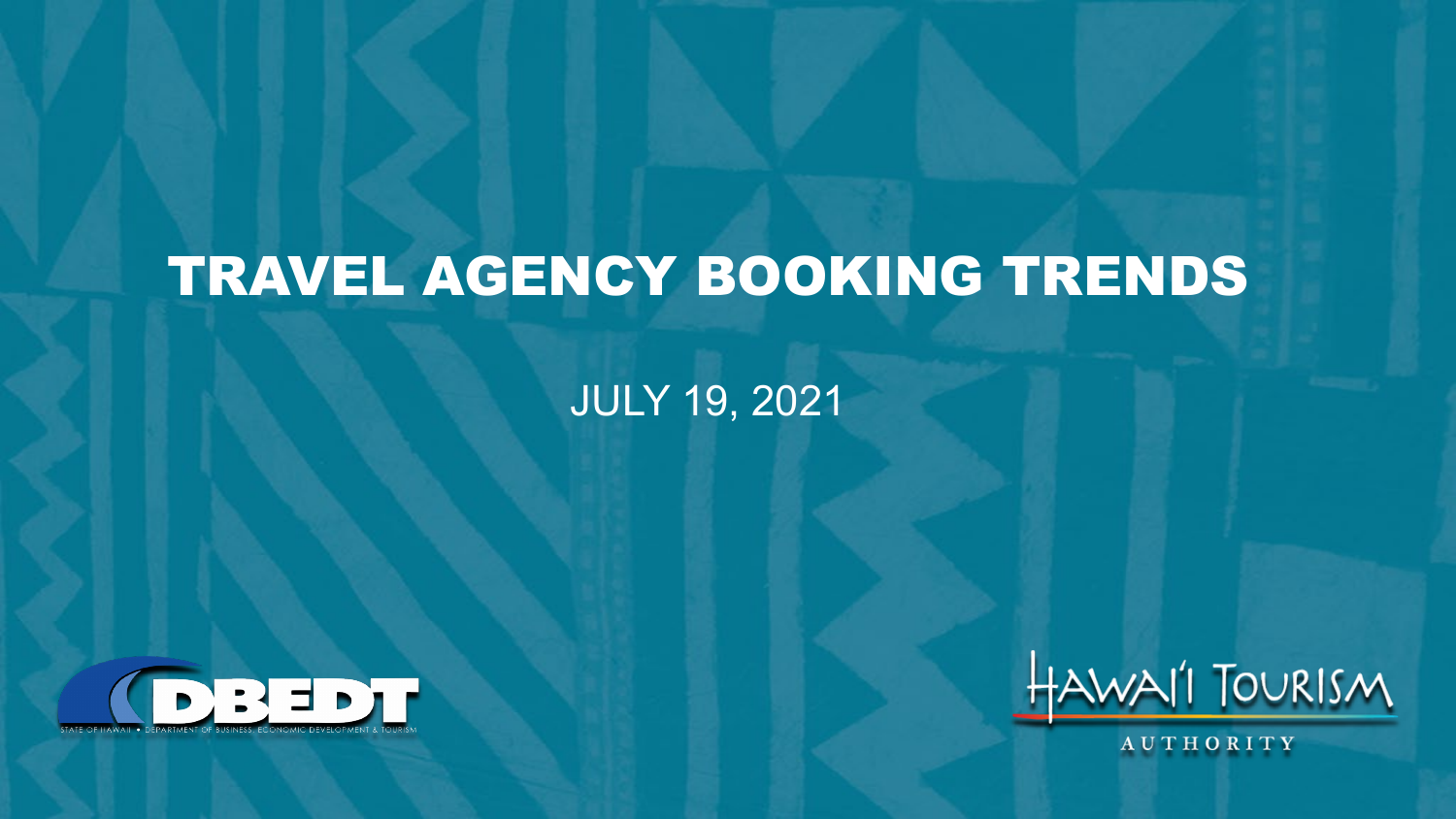# TRAVEL AGENCY BOOKING TRENDS

#### JULY 19, 2021





**AUTHORITY**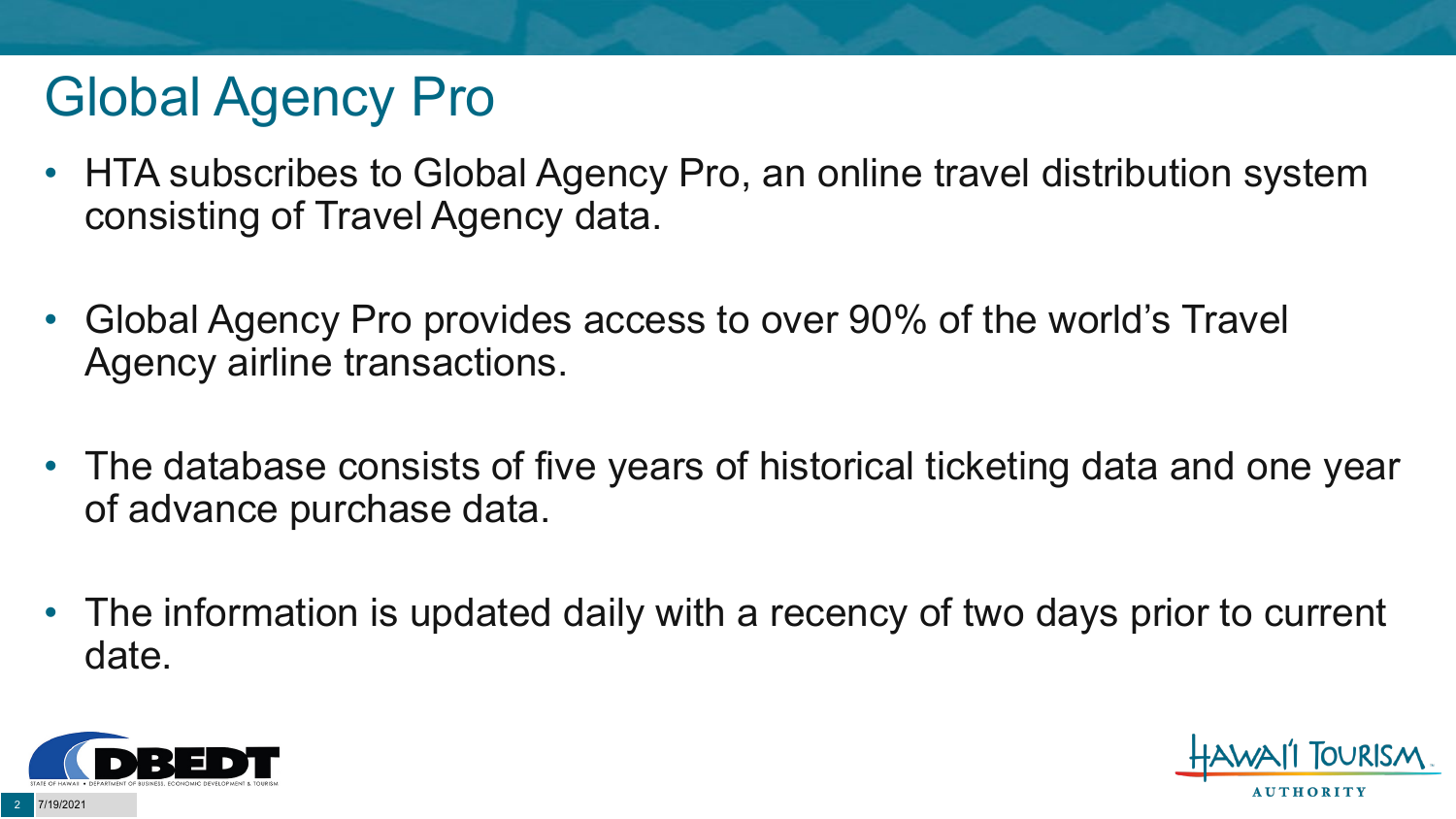# Global Agency Pro

- HTA subscribes to Global Agency Pro, an online travel distribution system consisting of Travel Agency data.
- Global Agency Pro provides access to over 90% of the world's Travel Agency airline transactions.
- The database consists of five years of historical ticketing data and one year of advance purchase data.
- The information is updated daily with a recency of two days prior to current date.



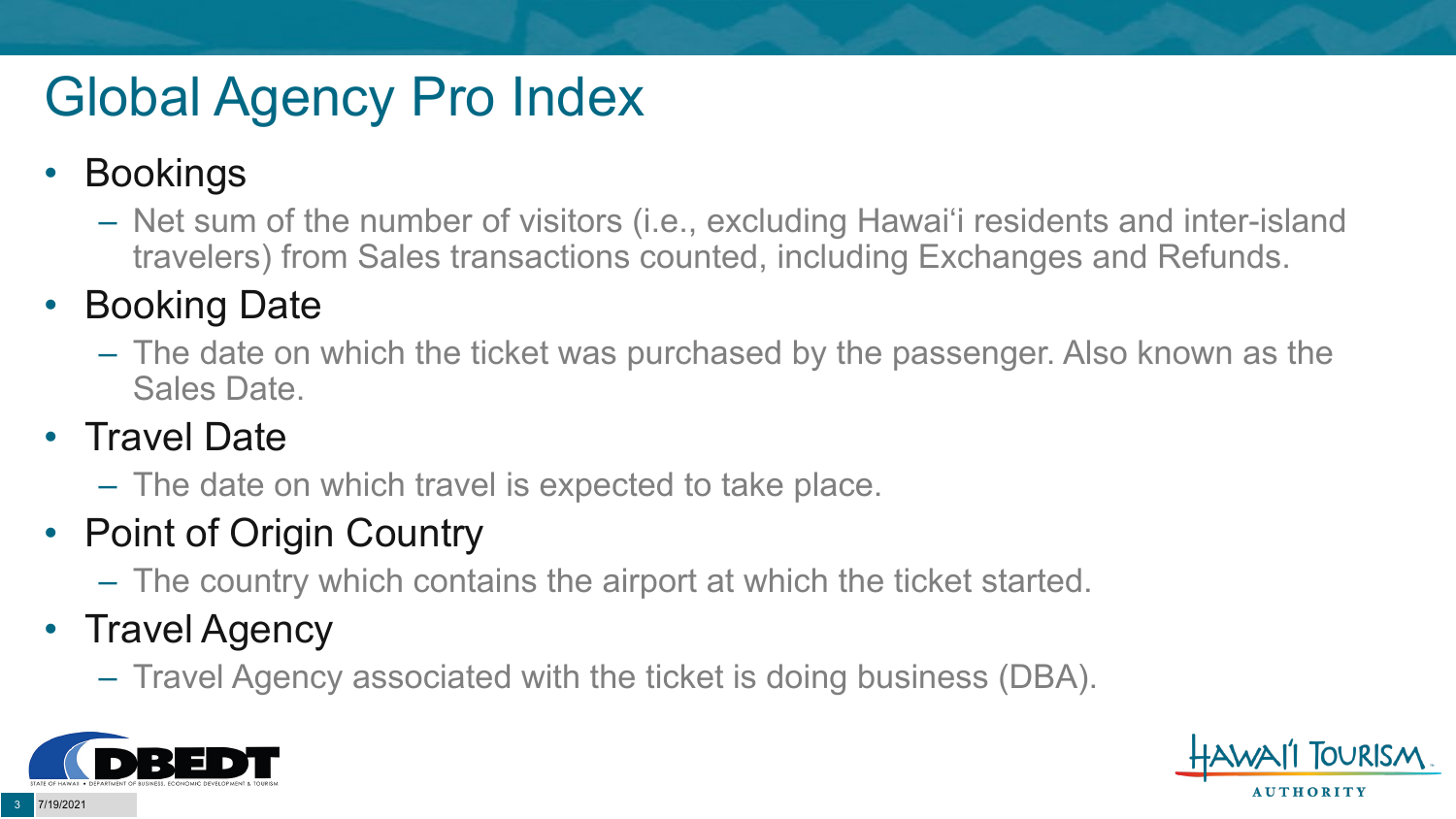# Global Agency Pro Index

### • Bookings

– Net sum of the number of visitors (i.e., excluding Hawai'i residents and inter-island travelers) from Sales transactions counted, including Exchanges and Refunds.

### • Booking Date

– The date on which the ticket was purchased by the passenger. Also known as the Sales Date.

### • Travel Date

– The date on which travel is expected to take place.

### • Point of Origin Country

– The country which contains the airport at which the ticket started.

### • Travel Agency

– Travel Agency associated with the ticket is doing business (DBA).



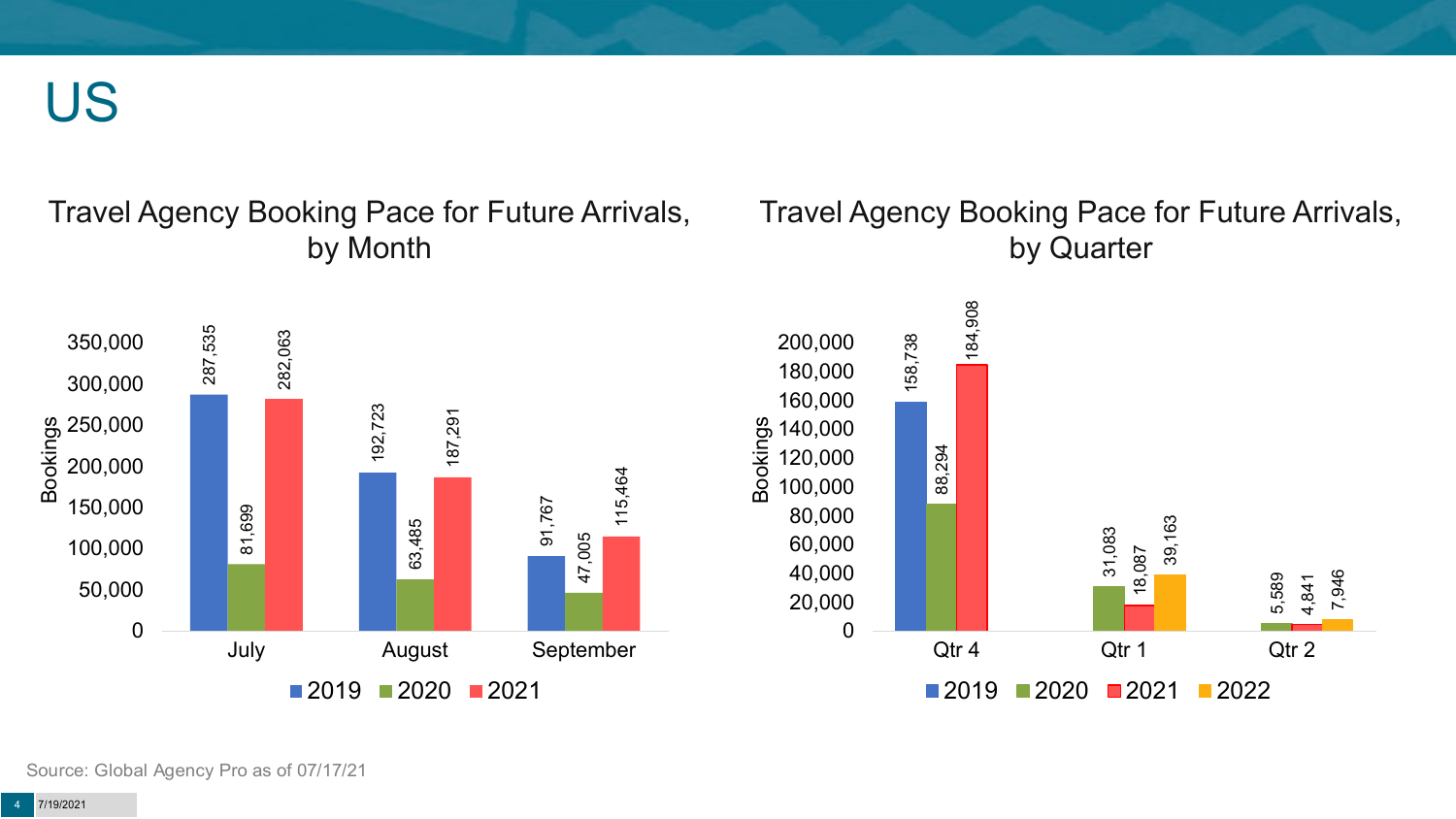US

#### Travel Agency Booking Pace for Future Arrivals, by Month

#### Travel Agency Booking Pace for Future Arrivals, by Quarter



Source: Global Agency Pro as of 07/17/21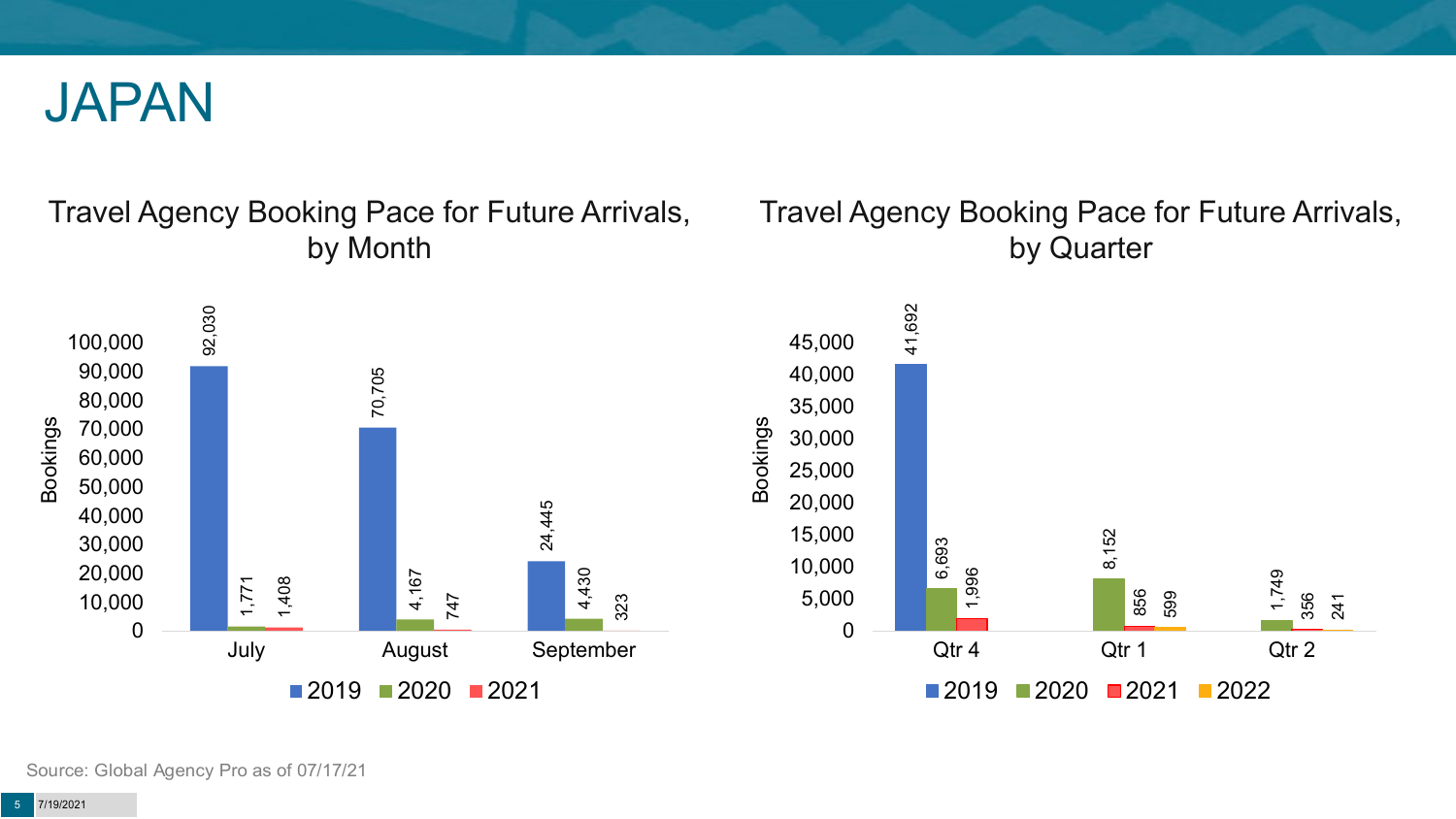

#### Travel Agency Booking Pace for Future Arrivals, by Month



#### Travel Agency Booking Pace for Future Arrivals, by Quarter



Source: Global Agency Pro as of 07/17/21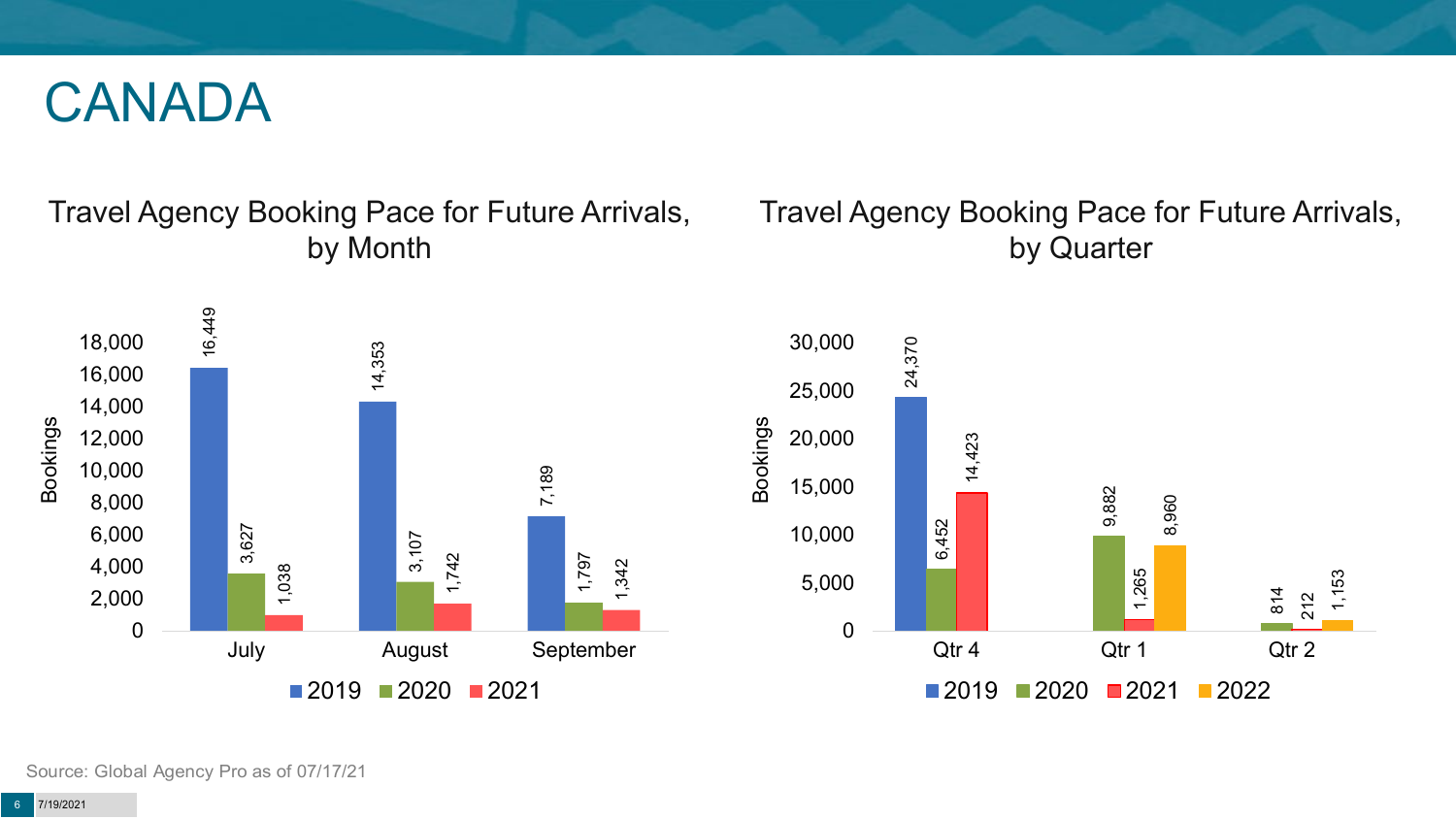### CANADA

#### Travel Agency Booking Pace for Future Arrivals, by Month

#### Travel Agency Booking Pace for Future Arrivals, by Quarter





Source: Global Agency Pro as of 07/17/21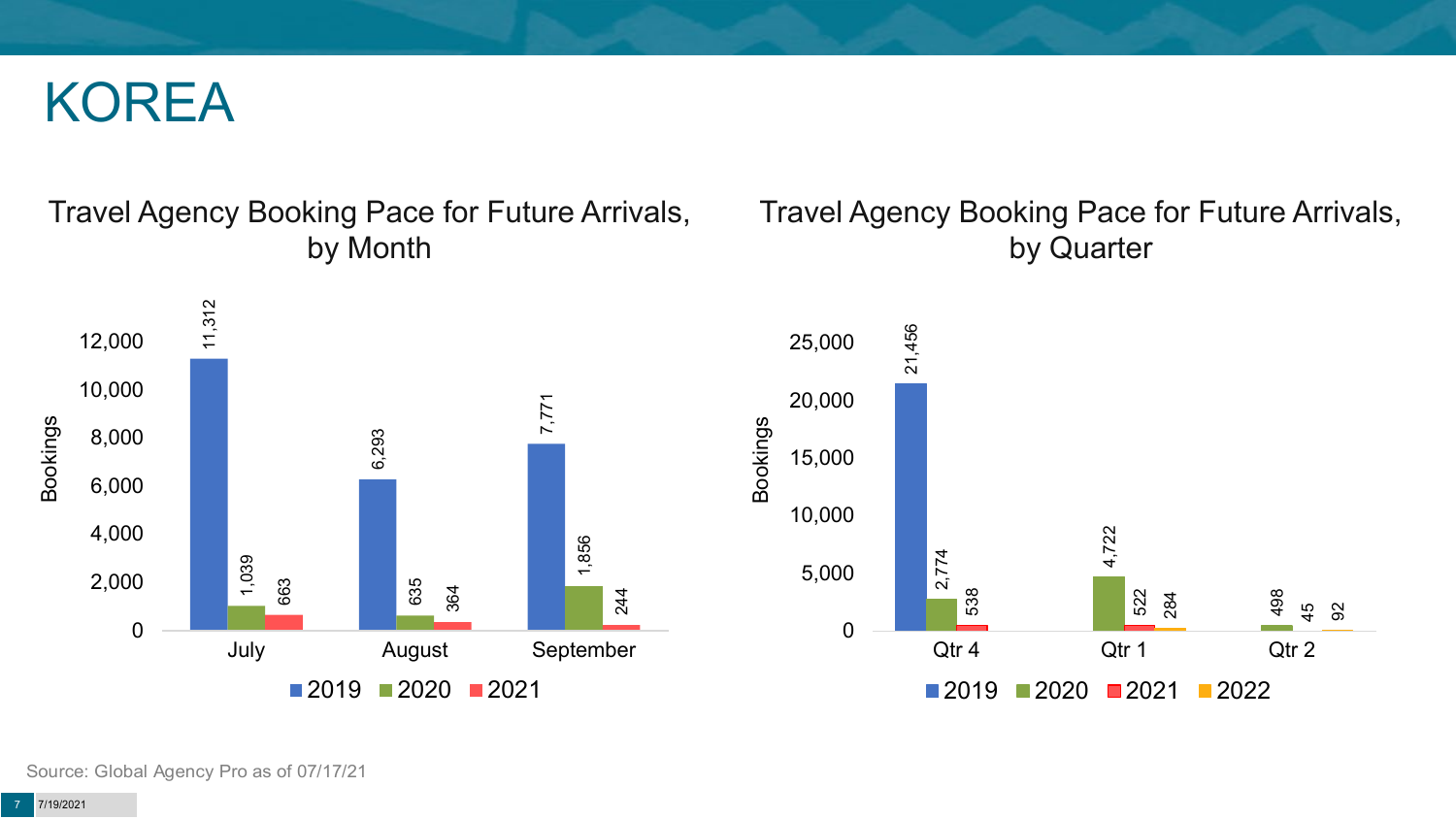### KOREA

#### Travel Agency Booking Pace for Future Arrivals, by Month

#### Travel Agency Booking Pace for Future Arrivals, by Quarter



Source: Global Agency Pro as of 07/17/21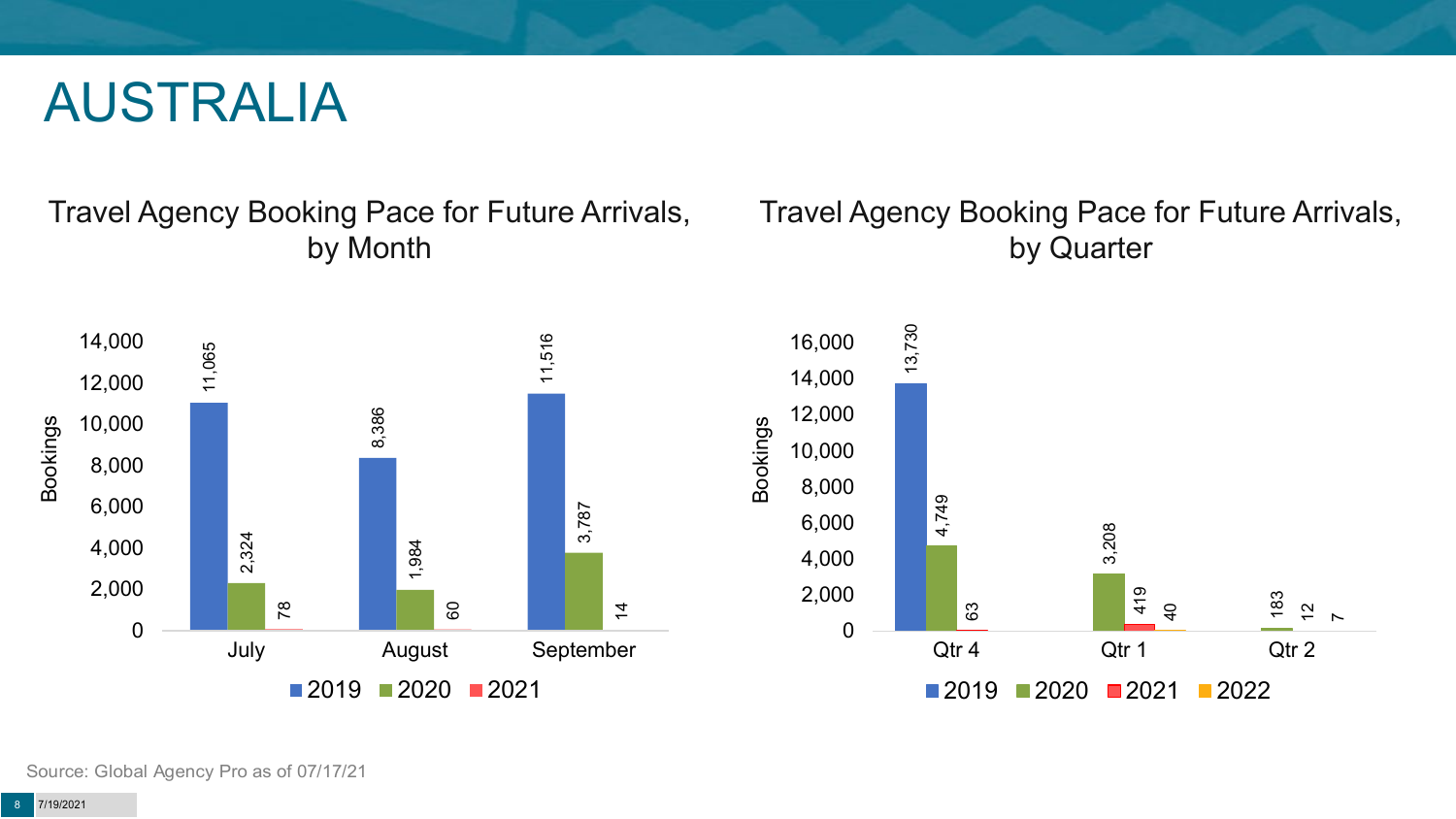### AUSTRALIA

Travel Agency Booking Pace for Future Arrivals, by Month

#### Travel Agency Booking Pace for Future Arrivals, by Quarter



Source: Global Agency Pro as of 07/17/21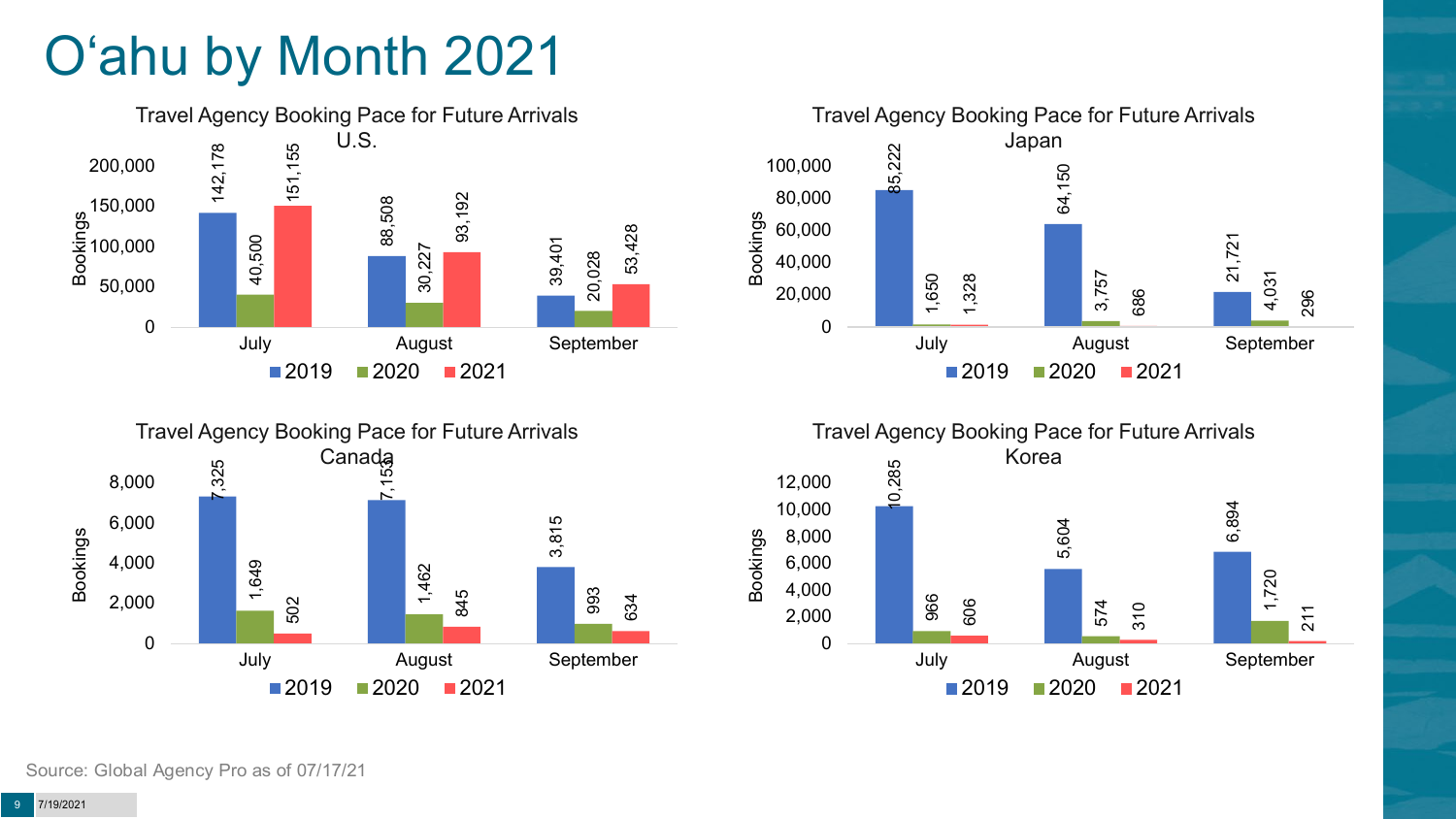# O'ahu by Month 2021







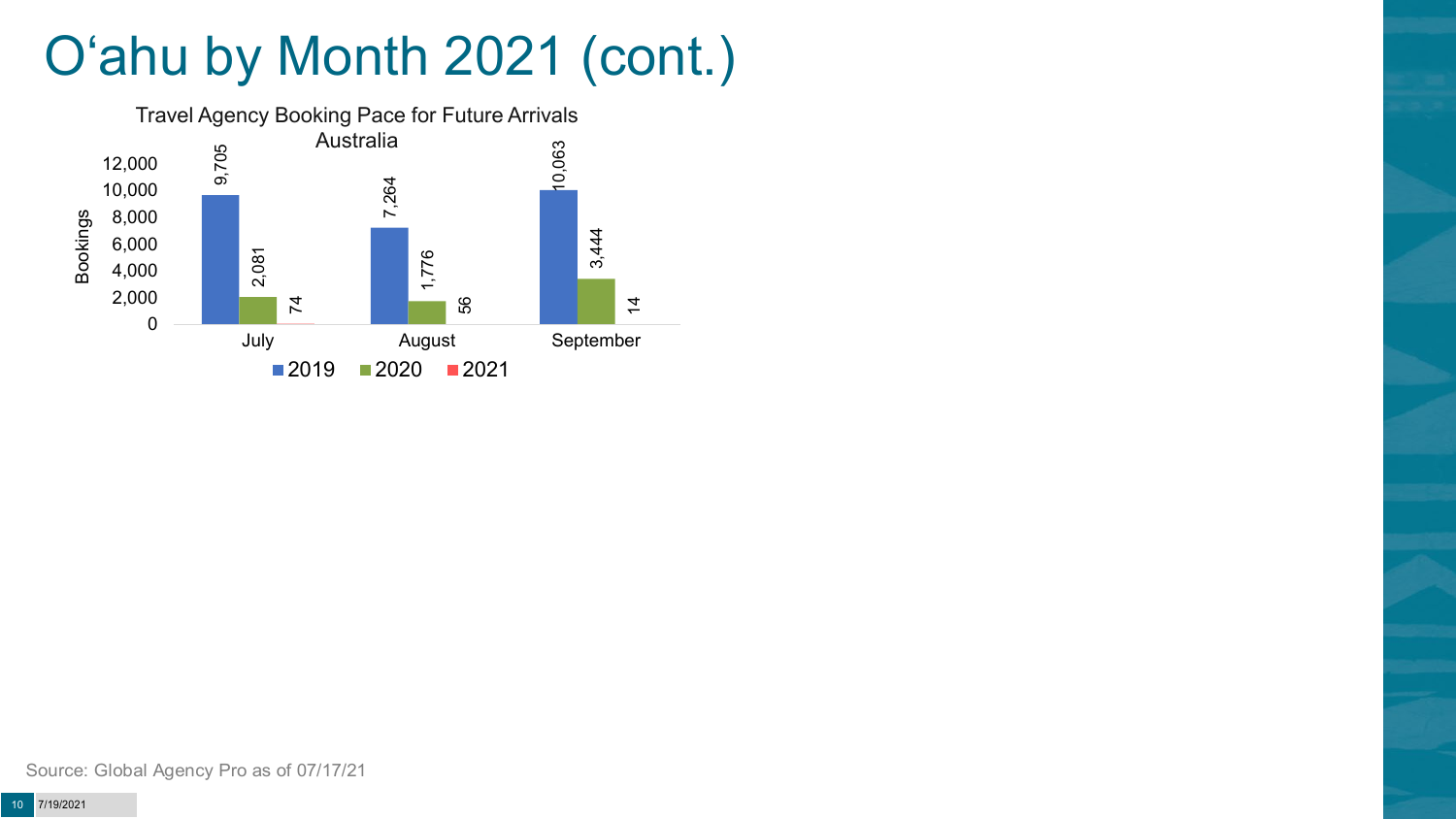# O'ahu by Month 2021 (cont.)

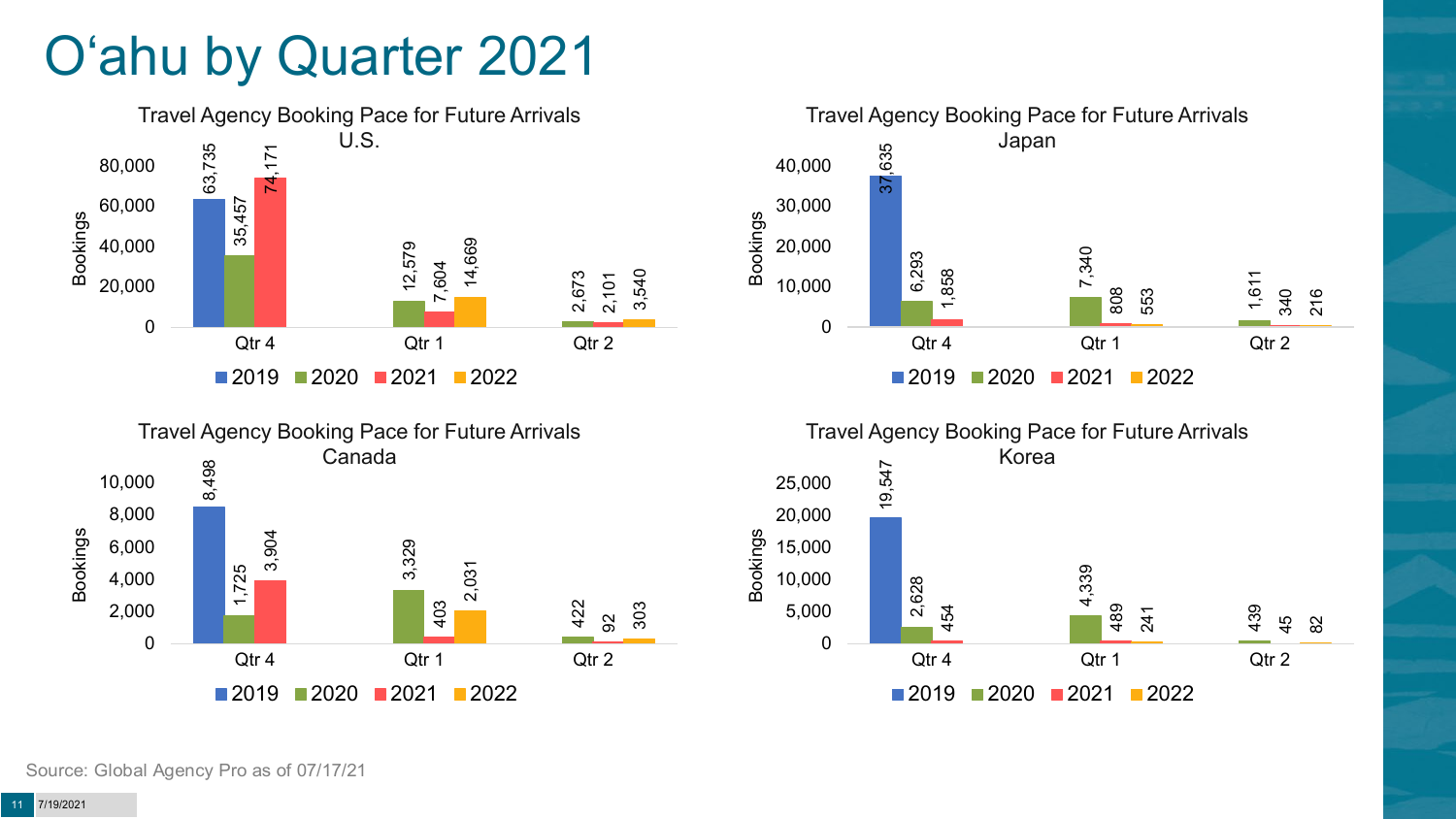# O'ahu by Quarter 2021







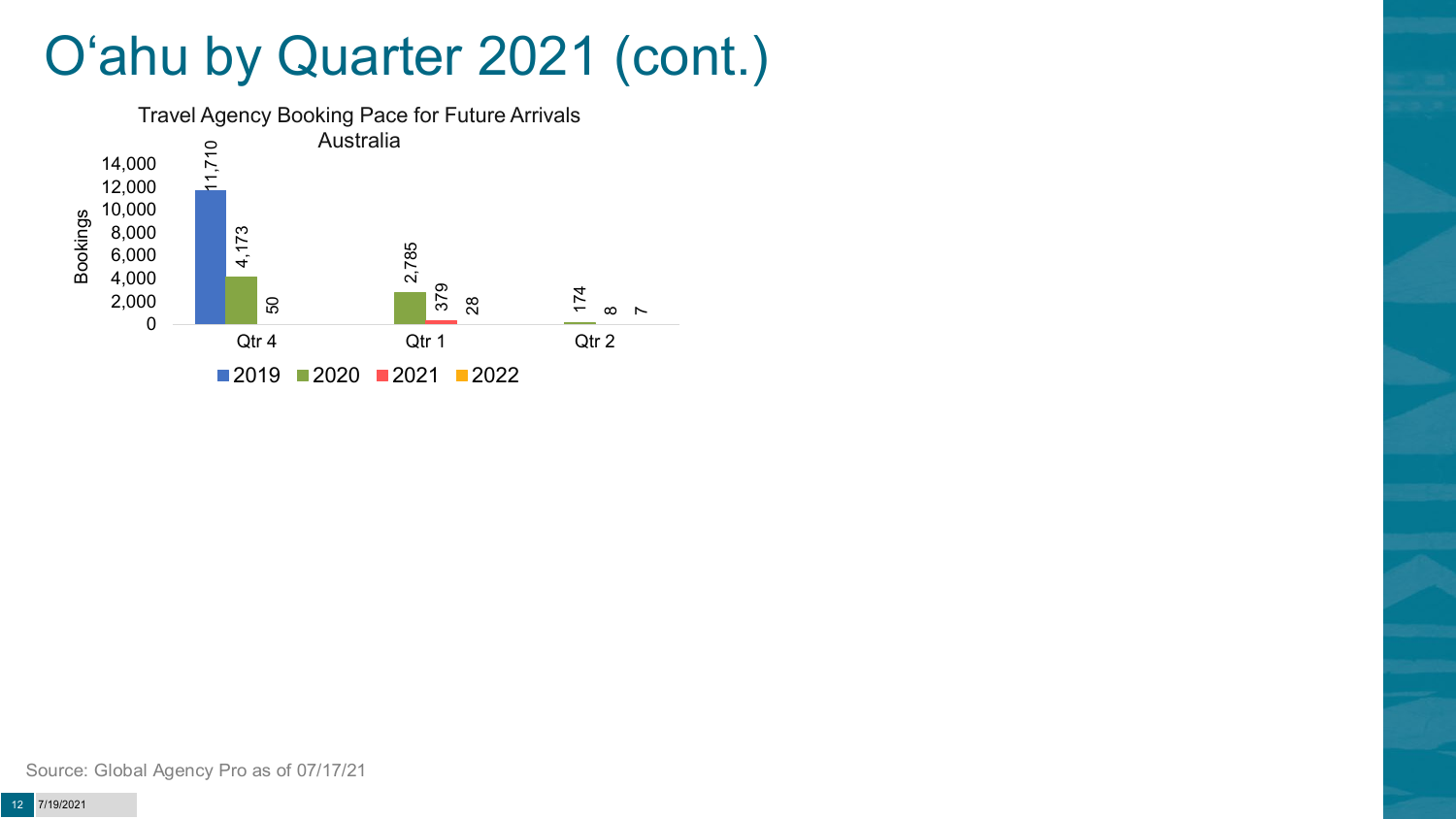## O'ahu by Quarter 2021 (cont.)



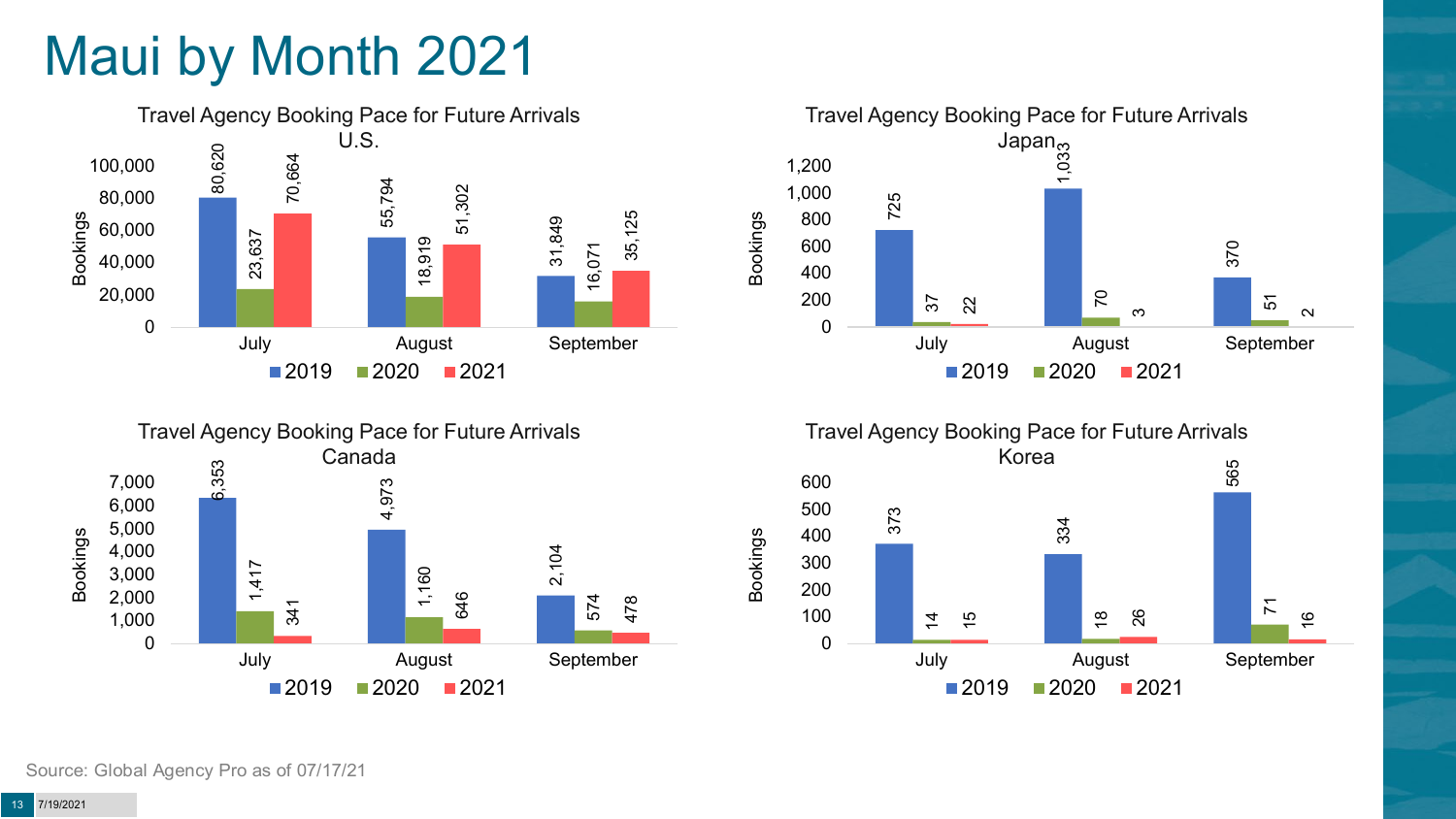# Maui by Month 2021







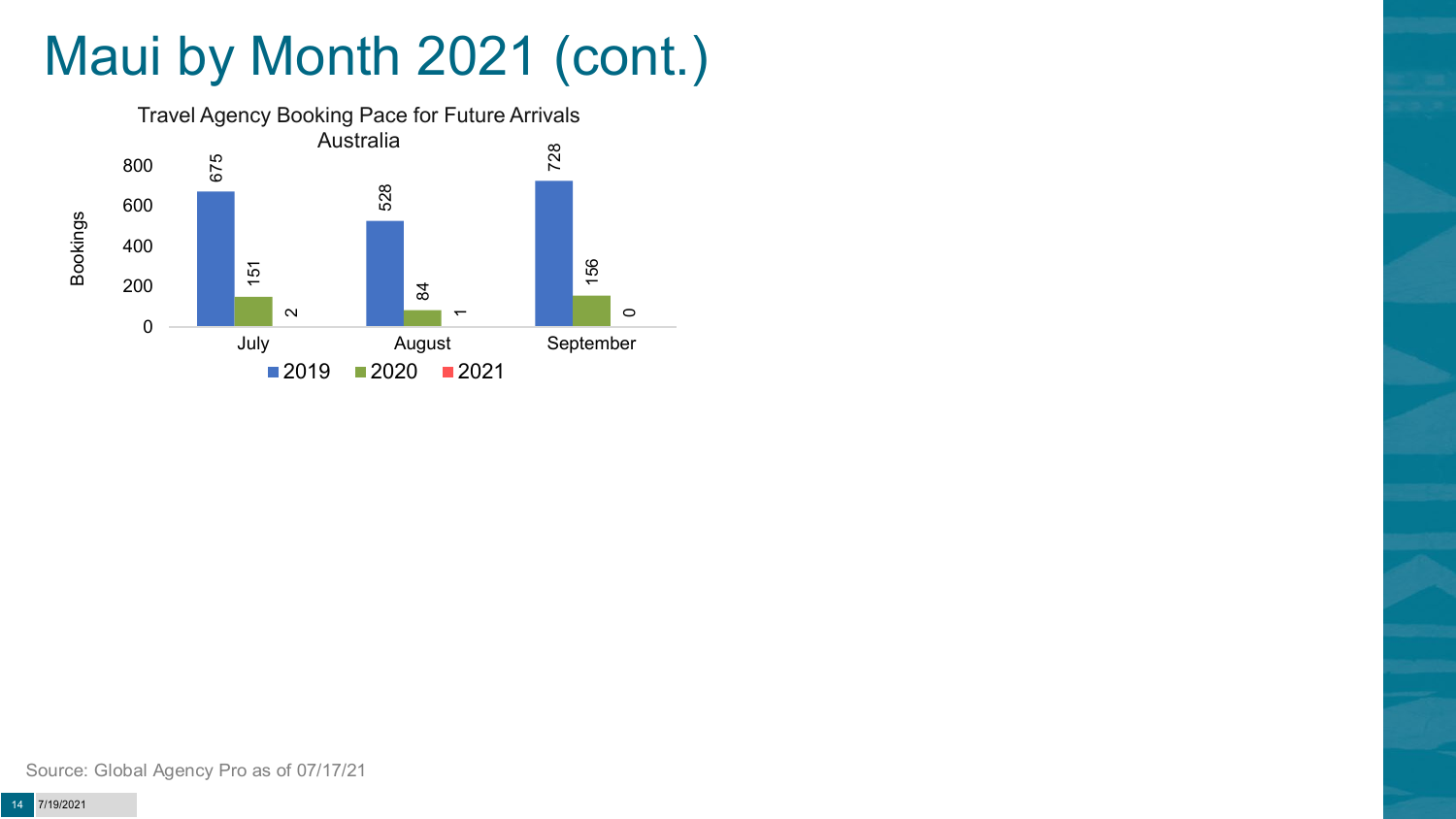# Maui by Month 2021 (cont.)



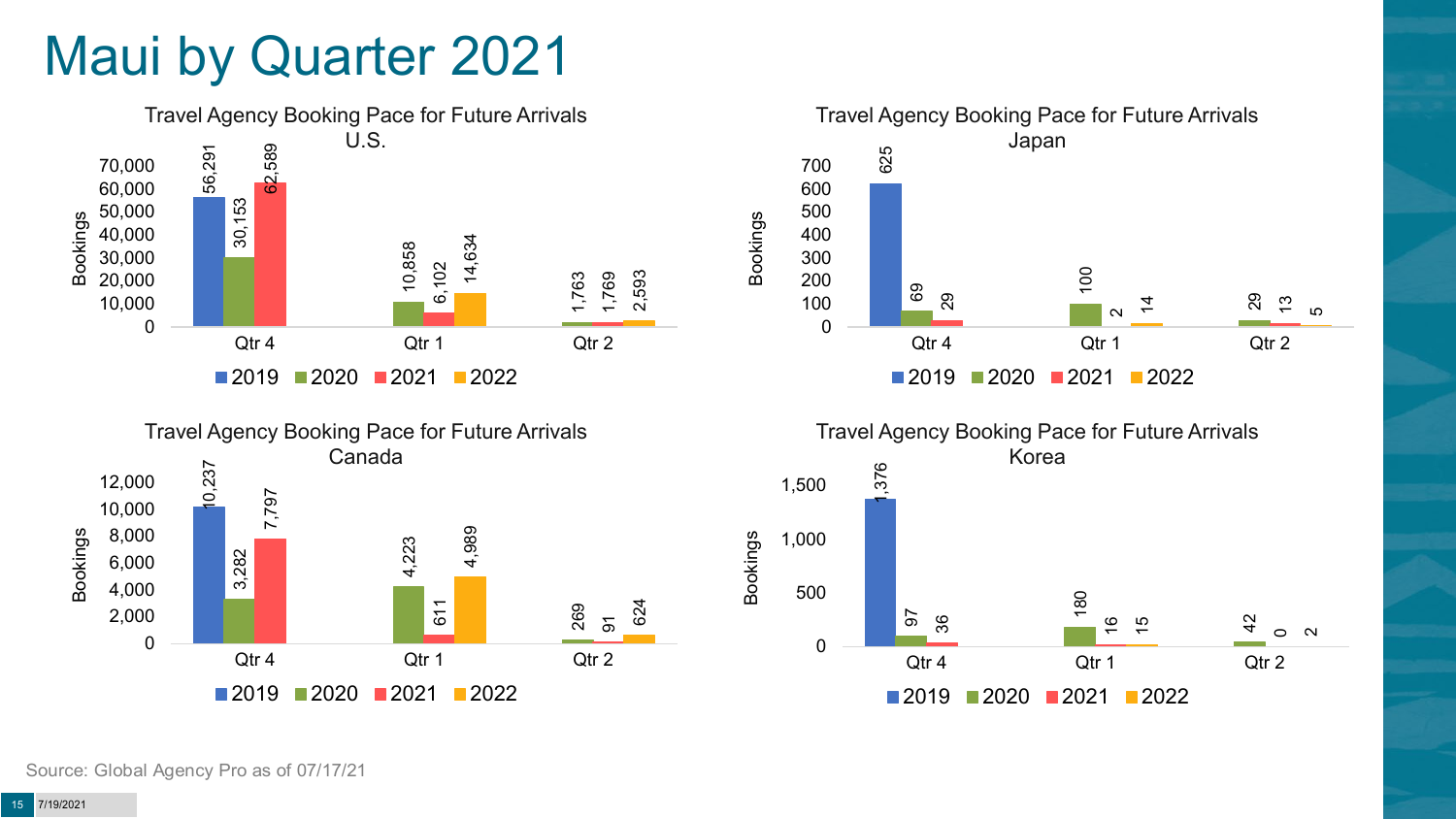## Maui by Quarter 2021







![](_page_14_Figure_4.jpeg)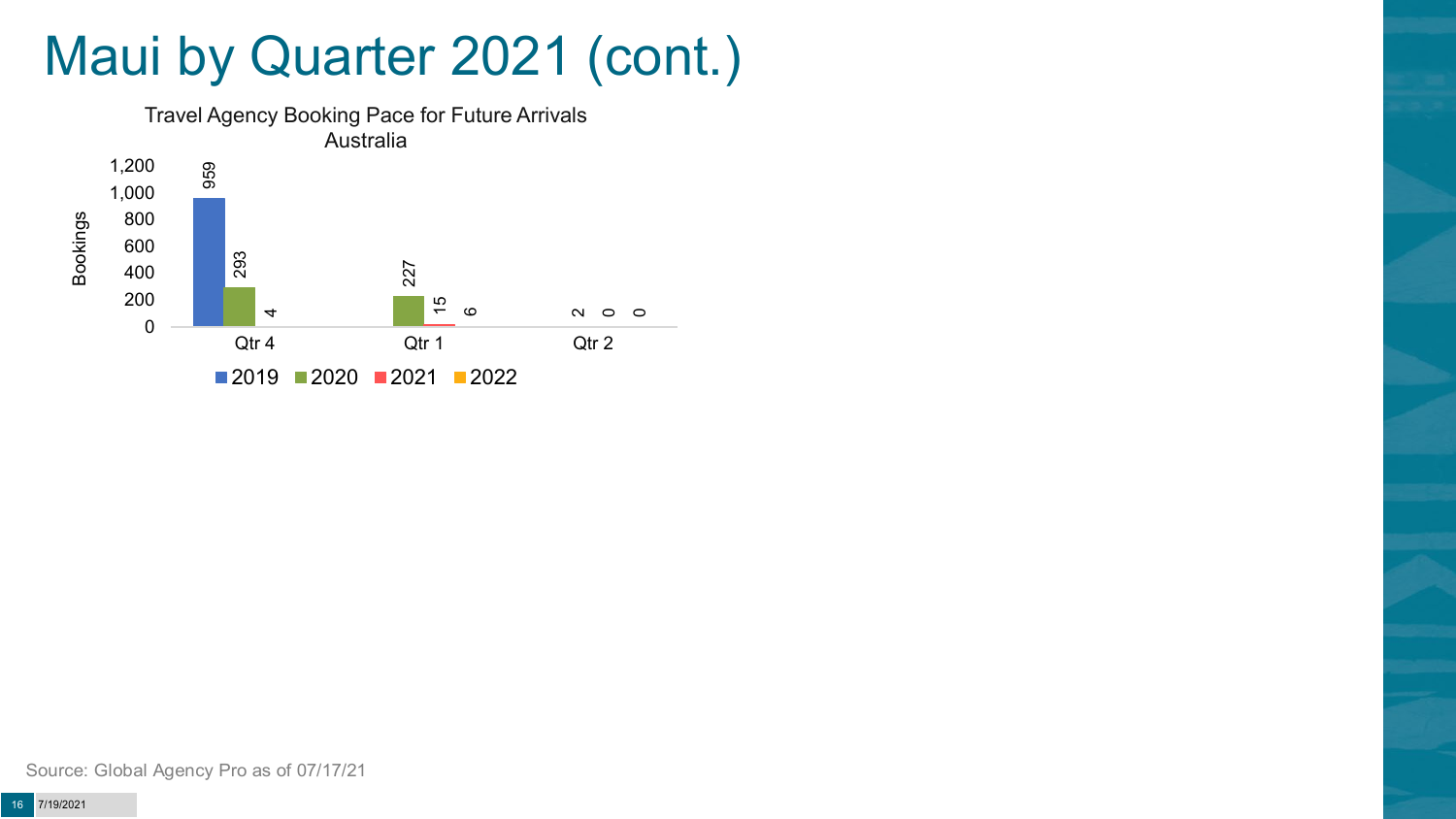## Maui by Quarter 2021 (cont.)

![](_page_15_Figure_1.jpeg)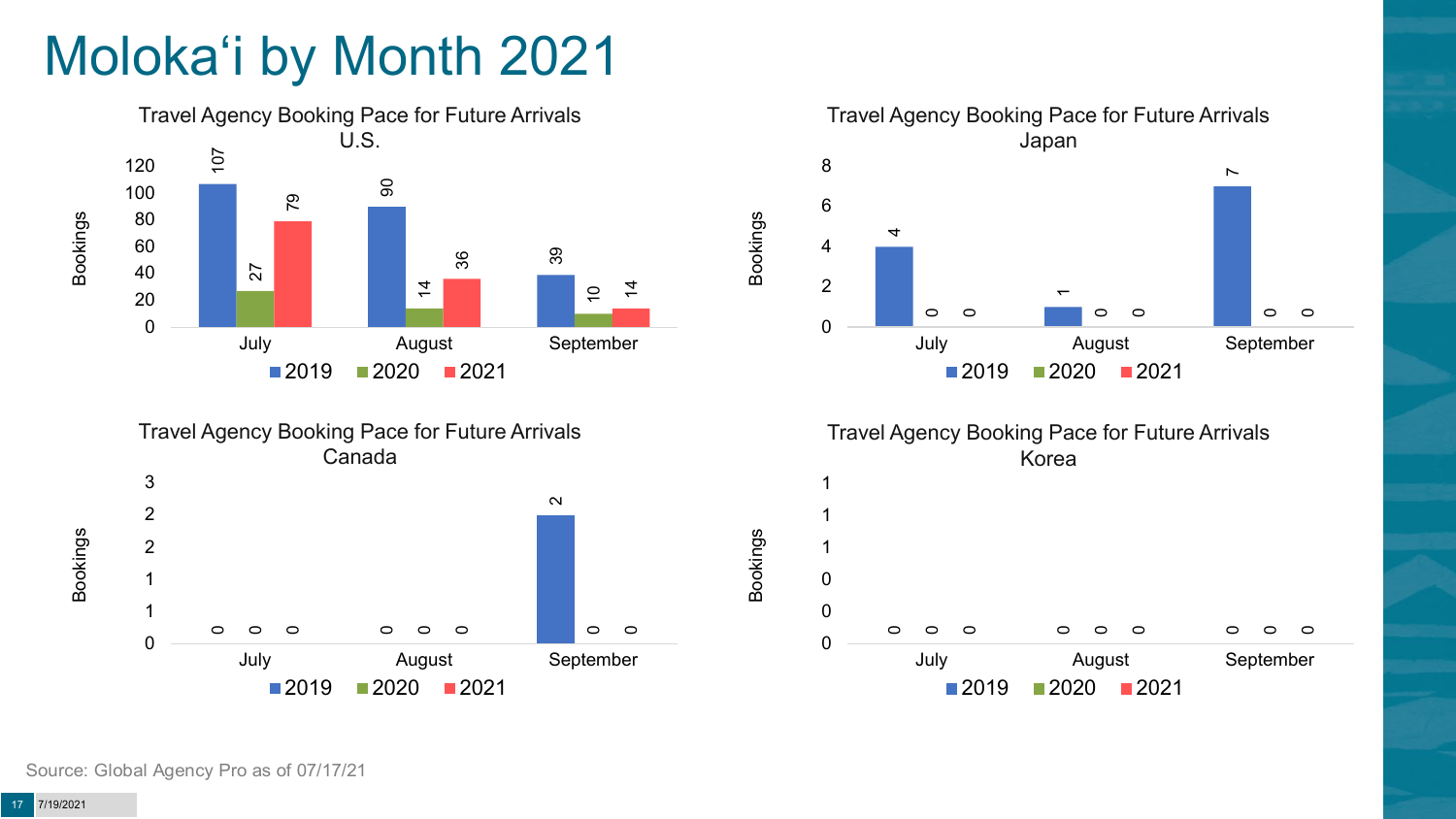# Moloka'i by Month 2021

![](_page_16_Figure_1.jpeg)

![](_page_16_Figure_2.jpeg)

![](_page_16_Figure_3.jpeg)

Bookings

Bookings

![](_page_16_Figure_4.jpeg)

2020 2021

July August September

 $\circ$ 

 $\circ$ 

 $\circ$ 

 $\circ$ 

 $\circ$ 

 $\bigcap$ 

 $\circ$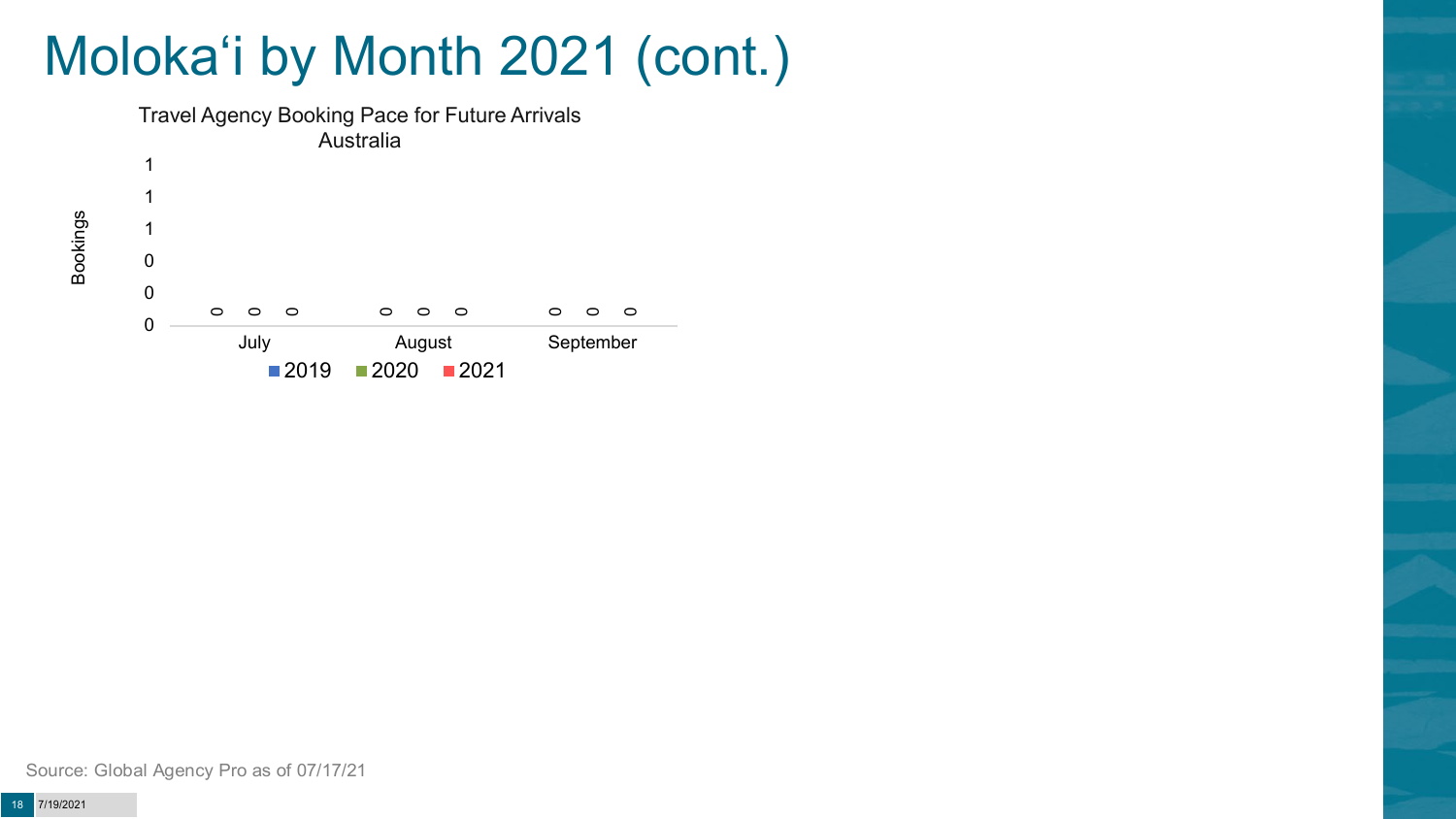# Moloka'i by Month 2021 (cont.)

![](_page_17_Figure_1.jpeg)

Bookings

Source: Global Agency Pro as of 07/17/21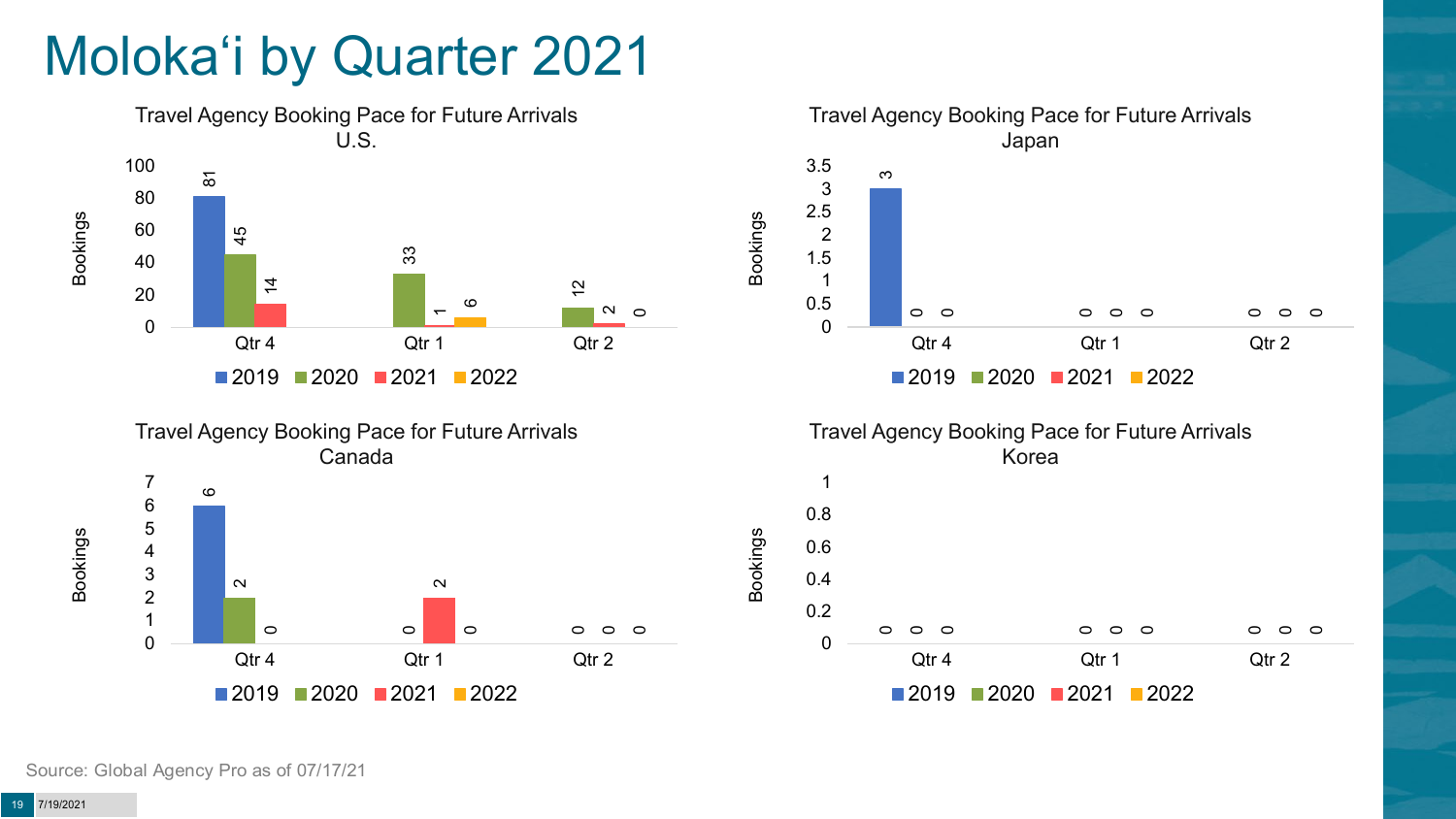# Moloka'i by Quarter 2021

![](_page_18_Figure_1.jpeg)

![](_page_18_Figure_2.jpeg)

![](_page_18_Figure_3.jpeg)

Bookings

Bookings

![](_page_18_Figure_4.jpeg)

![](_page_18_Figure_5.jpeg)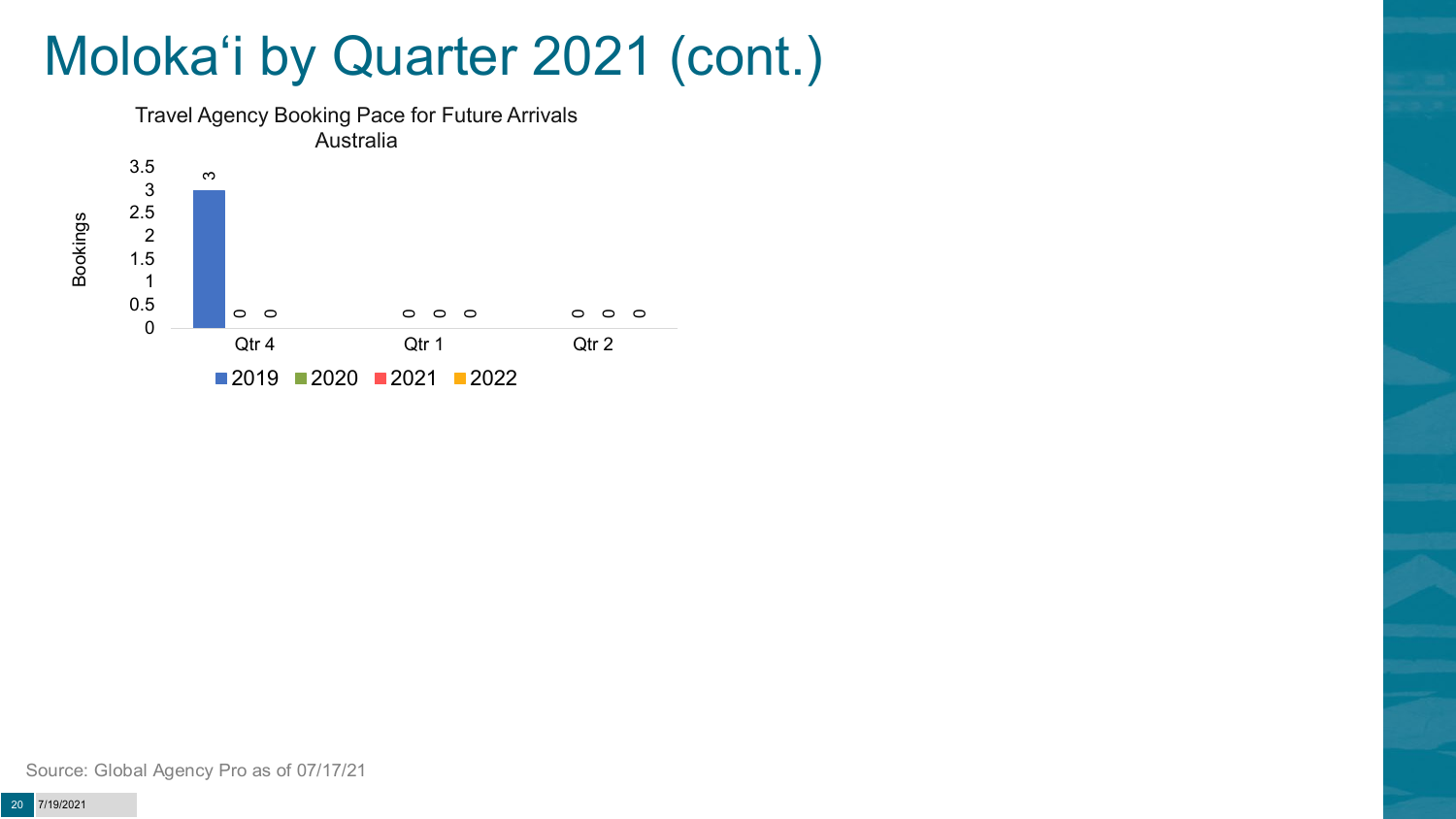## Moloka'i by Quarter 2021 (cont.)

![](_page_19_Figure_1.jpeg)

Source: Global Agency Pro as of 07/17/21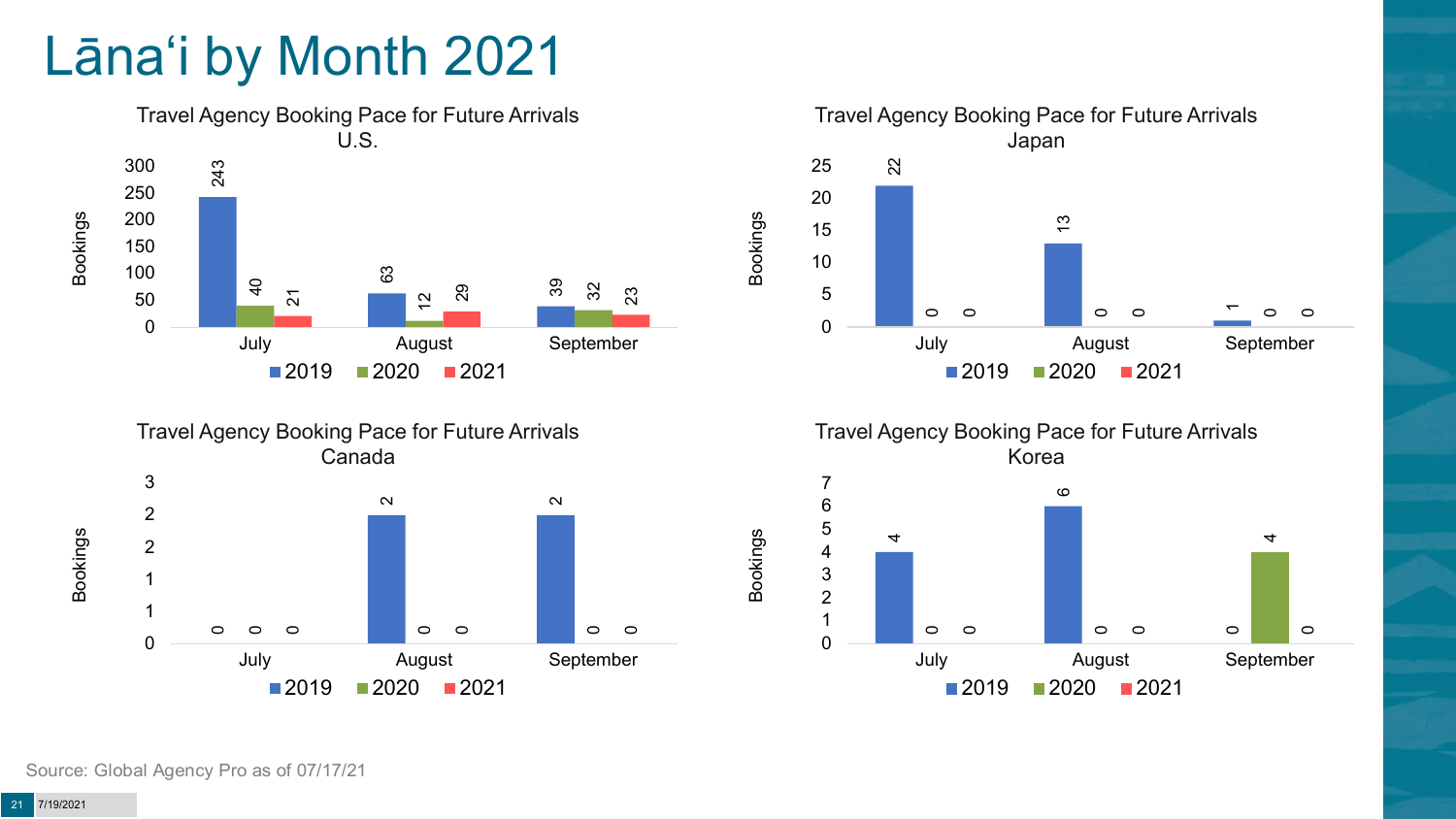# Lāna'i by Month 2021

![](_page_20_Figure_1.jpeg)

![](_page_20_Figure_2.jpeg)

![](_page_20_Figure_3.jpeg)

![](_page_20_Figure_4.jpeg)

Bookings

![](_page_20_Figure_5.jpeg)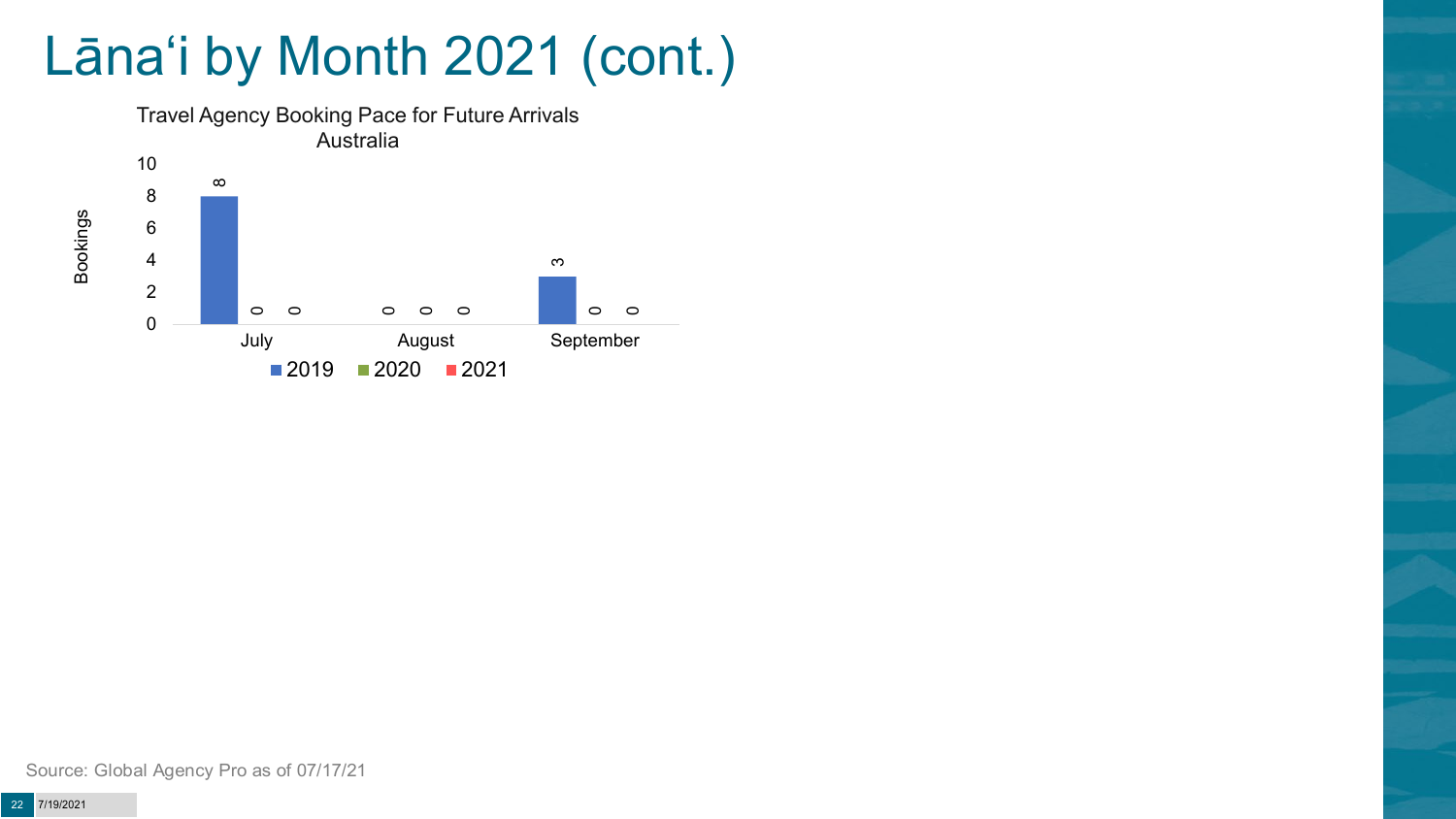# Lāna'i by Month 2021 (cont.)

![](_page_21_Figure_1.jpeg)

Source: Global Agency Pro as of 07/17/21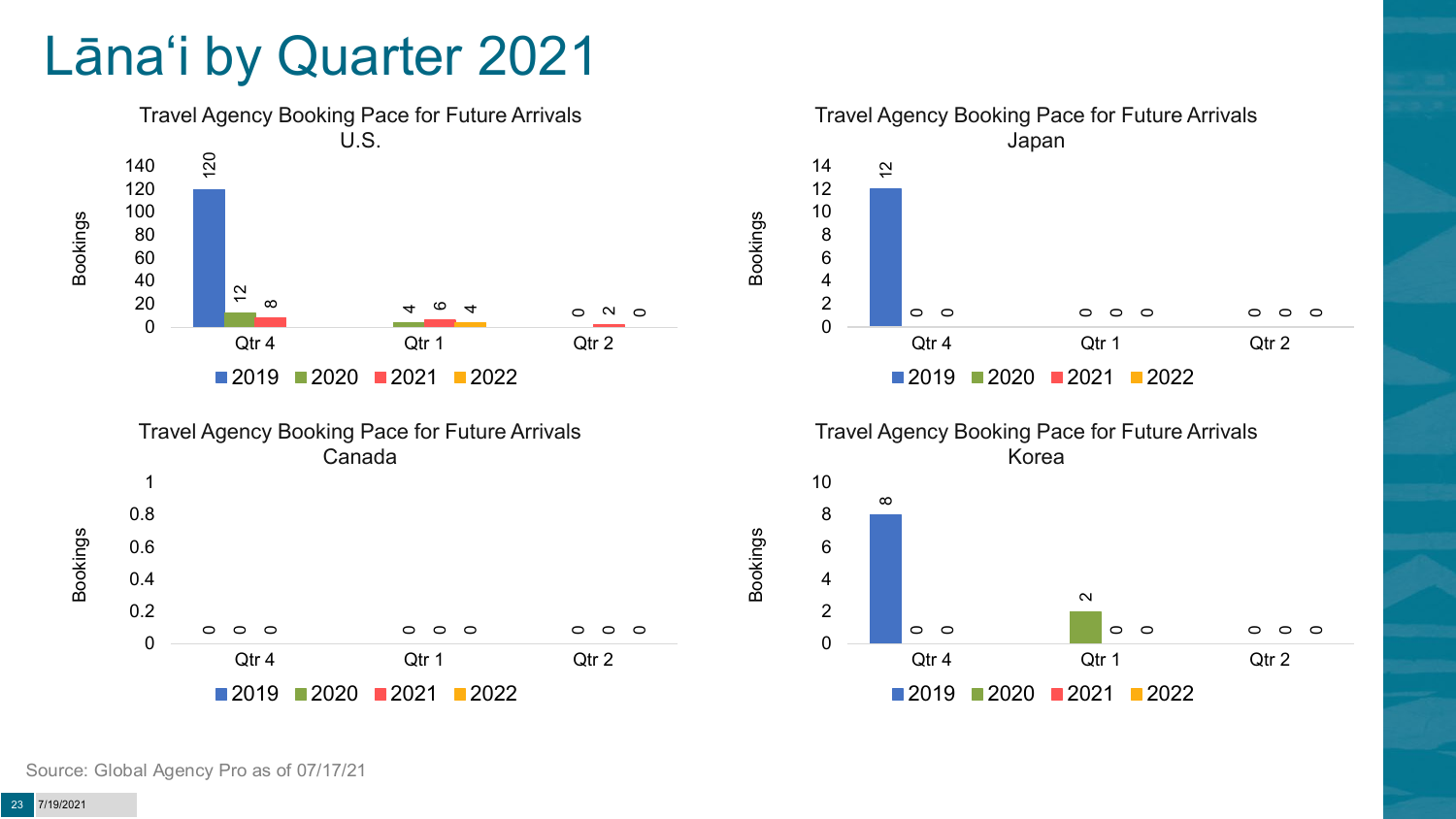### Lāna'i by Quarter 2021

![](_page_22_Figure_1.jpeg)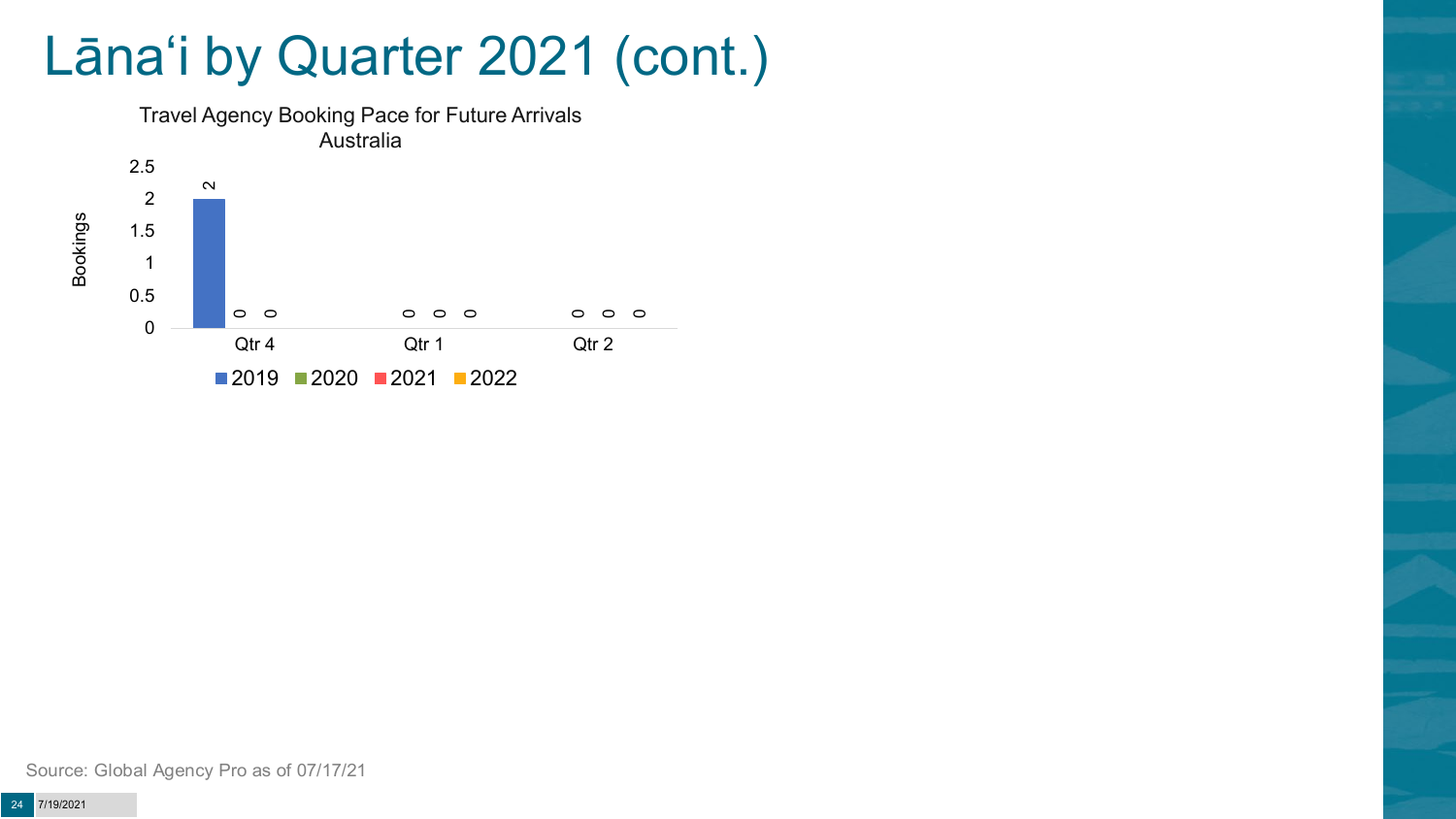## Lāna'i by Quarter 2021 (cont.)

![](_page_23_Figure_1.jpeg)

Source: Global Agency Pro as of 07/17/21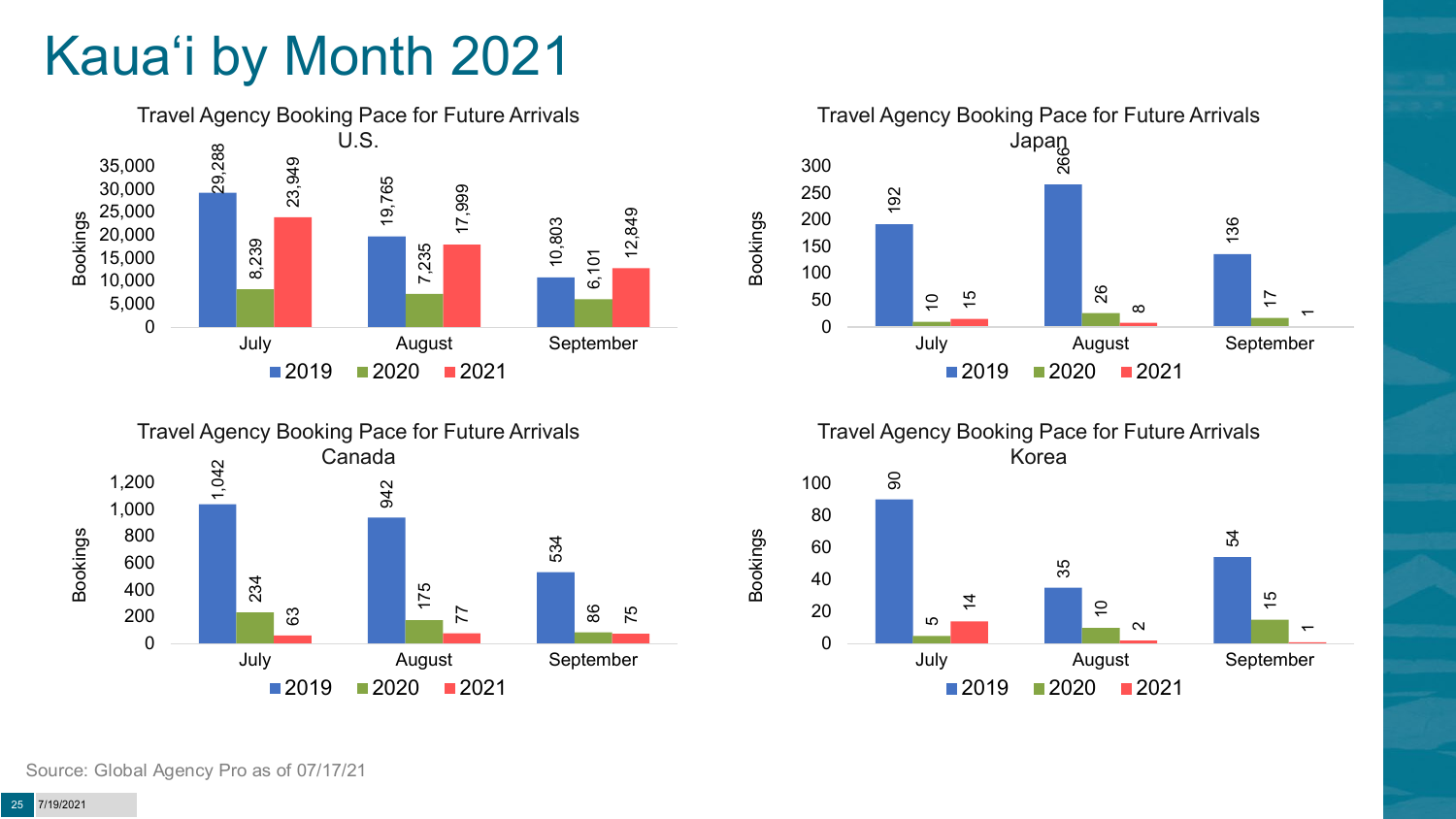# Kaua'i by Month 2021

![](_page_24_Figure_1.jpeg)

![](_page_24_Figure_2.jpeg)

Travel Agency Booking Pace for Future Arrivals Japan 192 08<br>26 136  $\overline{0}$ 26 15 17  $\infty$  $\overline{\phantom{0}}$ 0 50 100 150 200 250 300 July August September Bookings  $2019$  2020 2021

Travel Agency Booking Pace for Future Arrivals Korea

Bookings

![](_page_24_Figure_5.jpeg)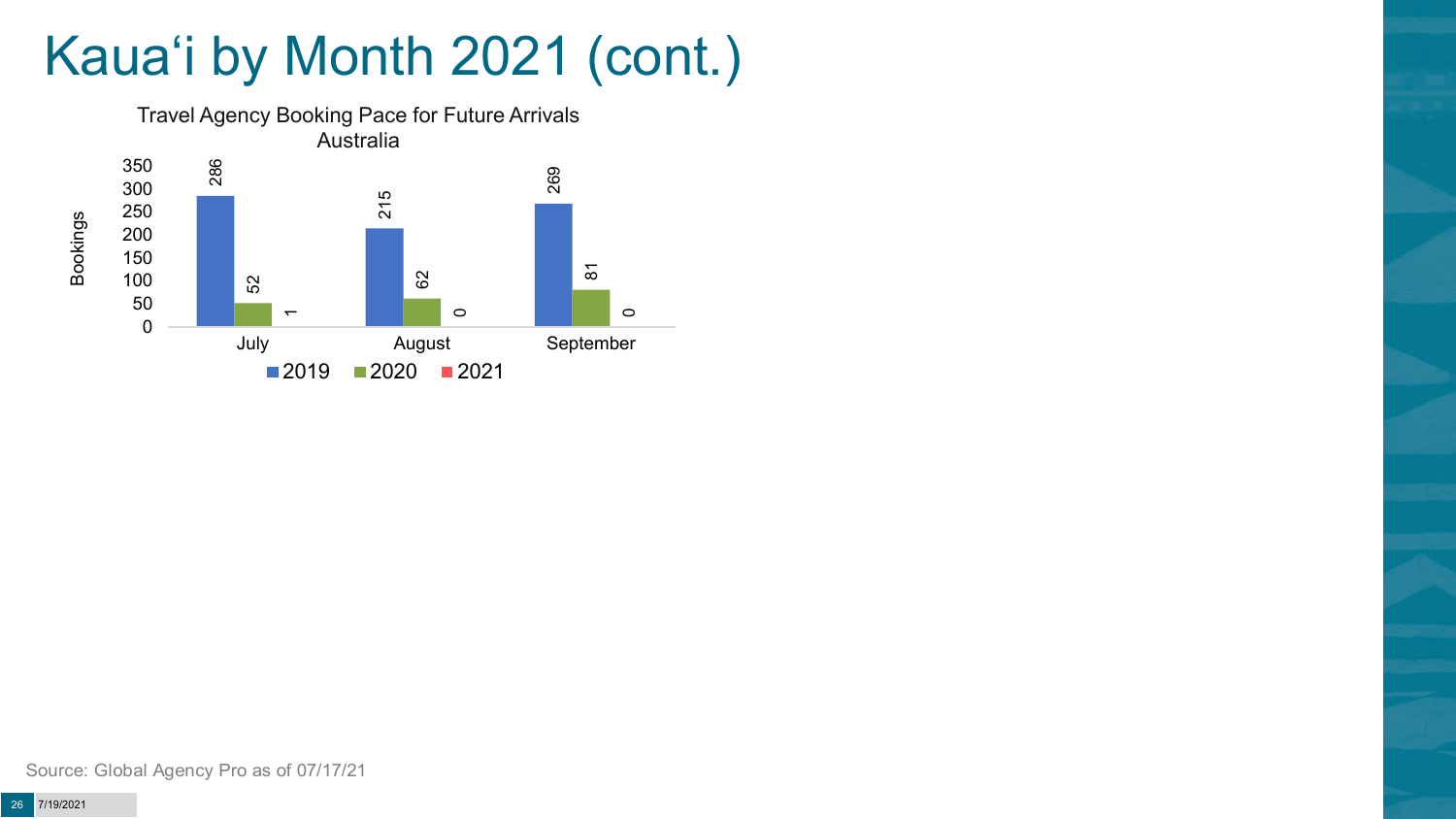# Kaua'i by Month 2021 (cont.)

![](_page_25_Figure_1.jpeg)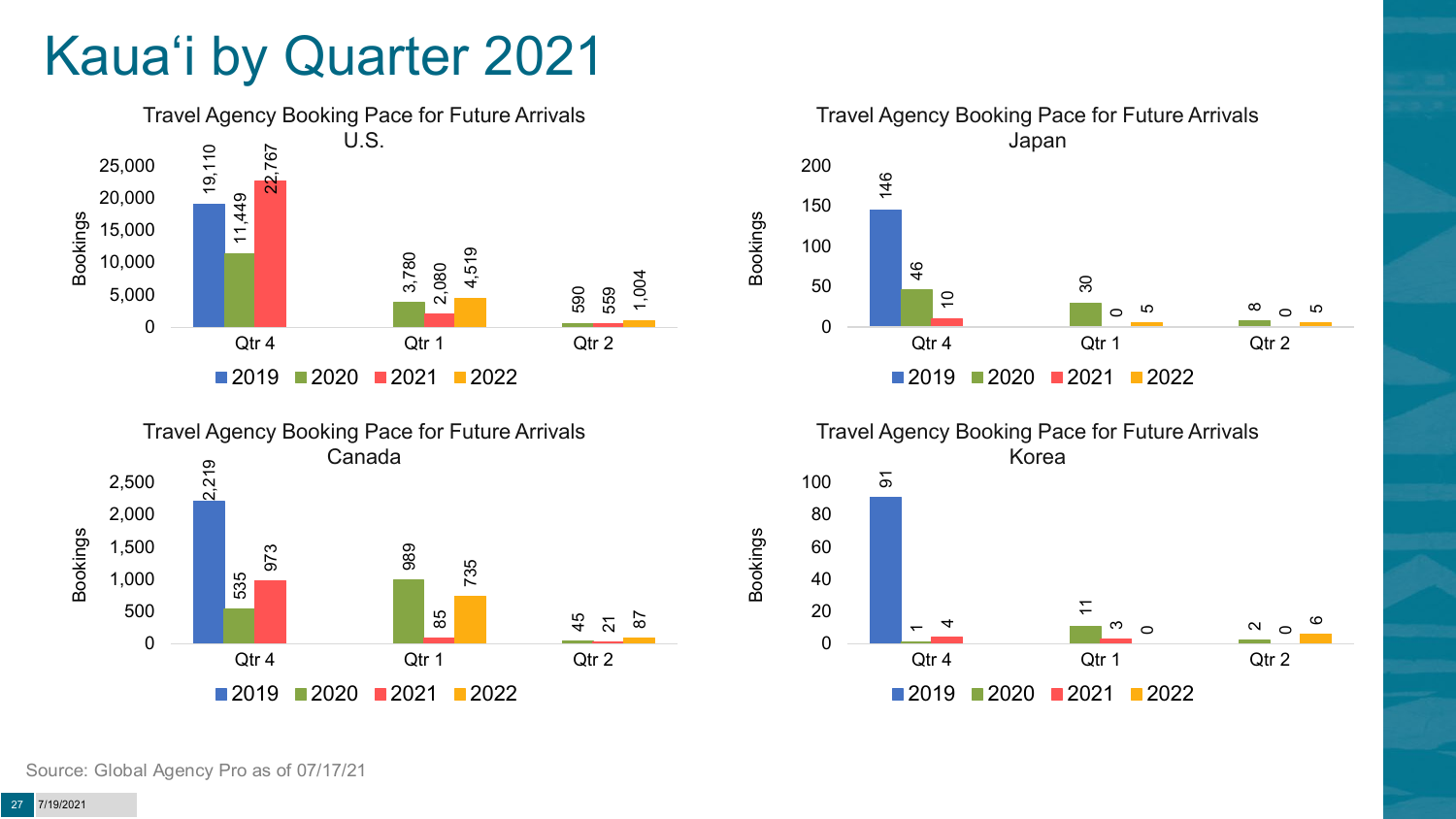# Kaua'i by Quarter 2021

![](_page_26_Figure_1.jpeg)

![](_page_26_Figure_2.jpeg)

![](_page_26_Figure_3.jpeg)

![](_page_26_Figure_4.jpeg)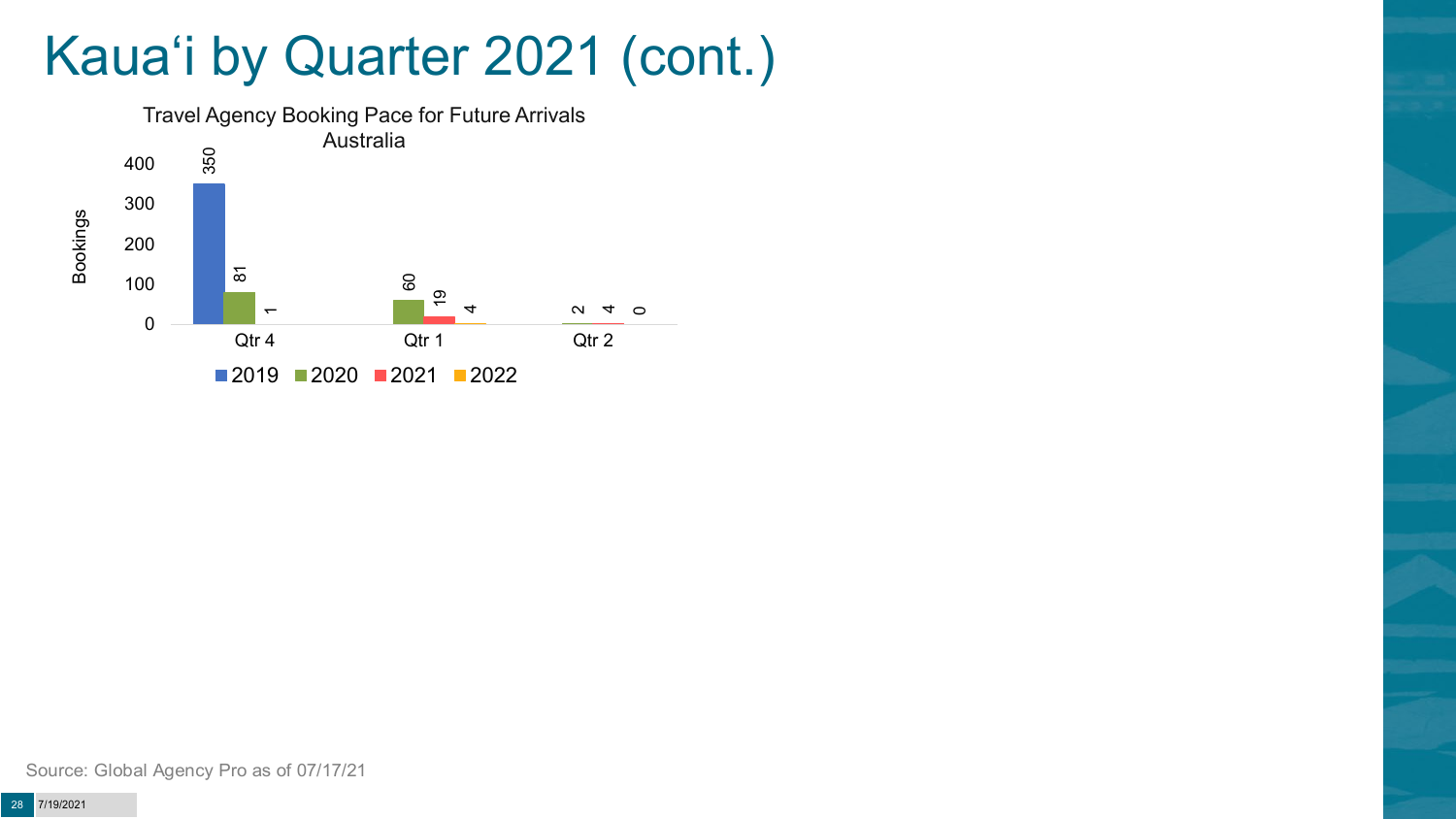## Kaua'i by Quarter 2021 (cont.)

![](_page_27_Figure_1.jpeg)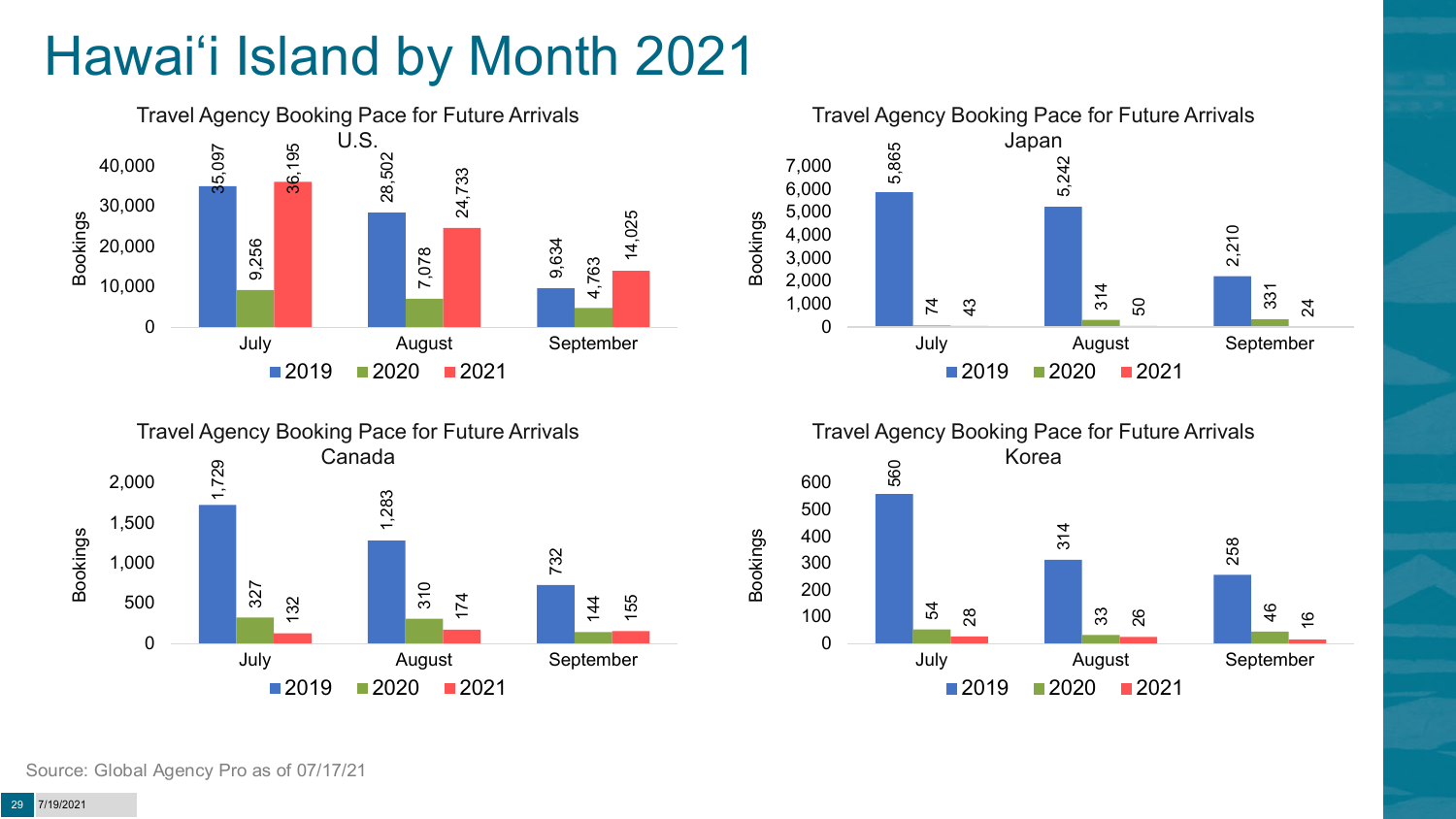# Hawai'i Island by Month 2021

![](_page_28_Figure_1.jpeg)

![](_page_28_Figure_2.jpeg)

![](_page_28_Figure_3.jpeg)

![](_page_28_Figure_4.jpeg)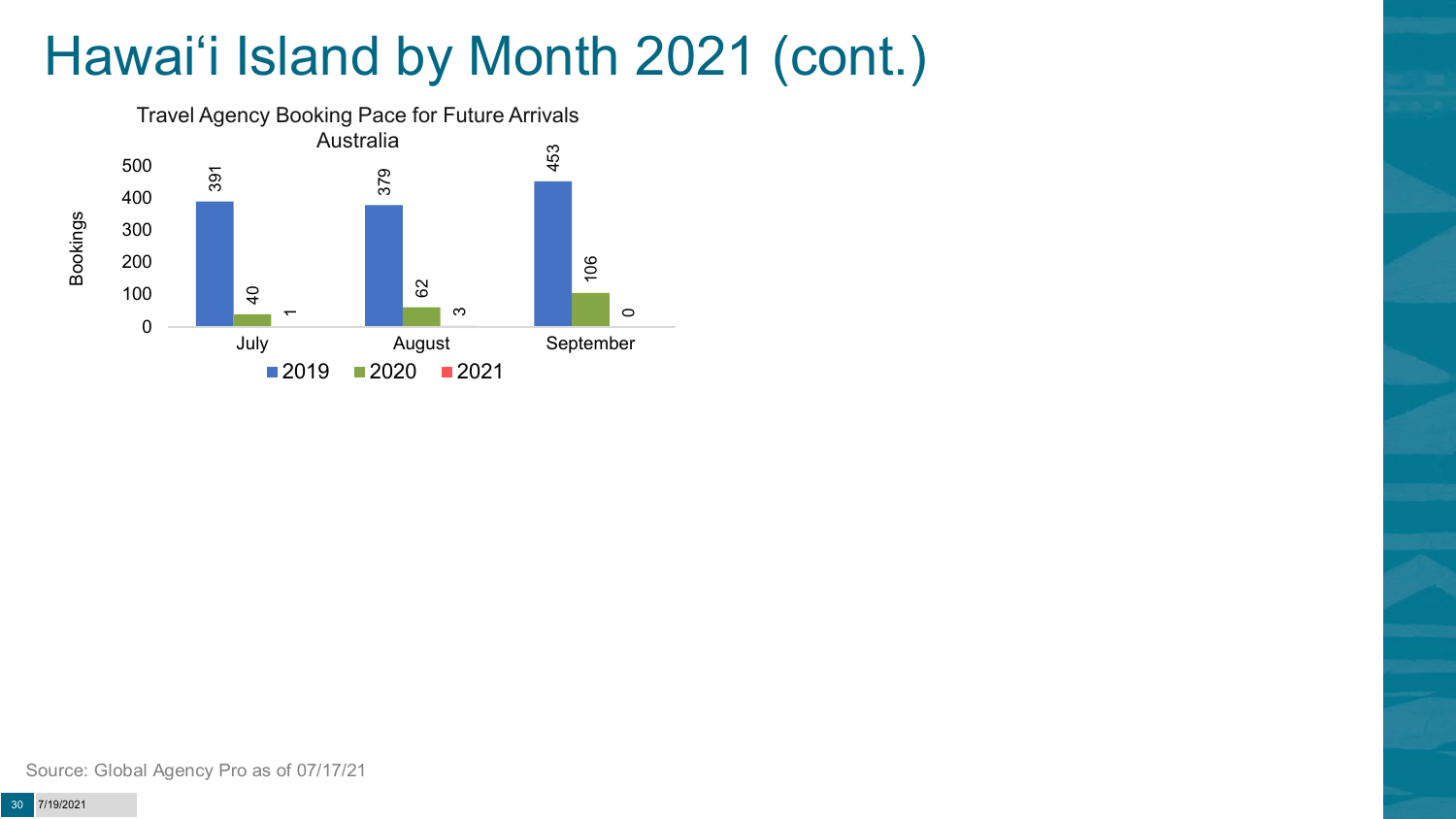# Hawai'i Island by Month 2021 (cont.)

![](_page_29_Figure_1.jpeg)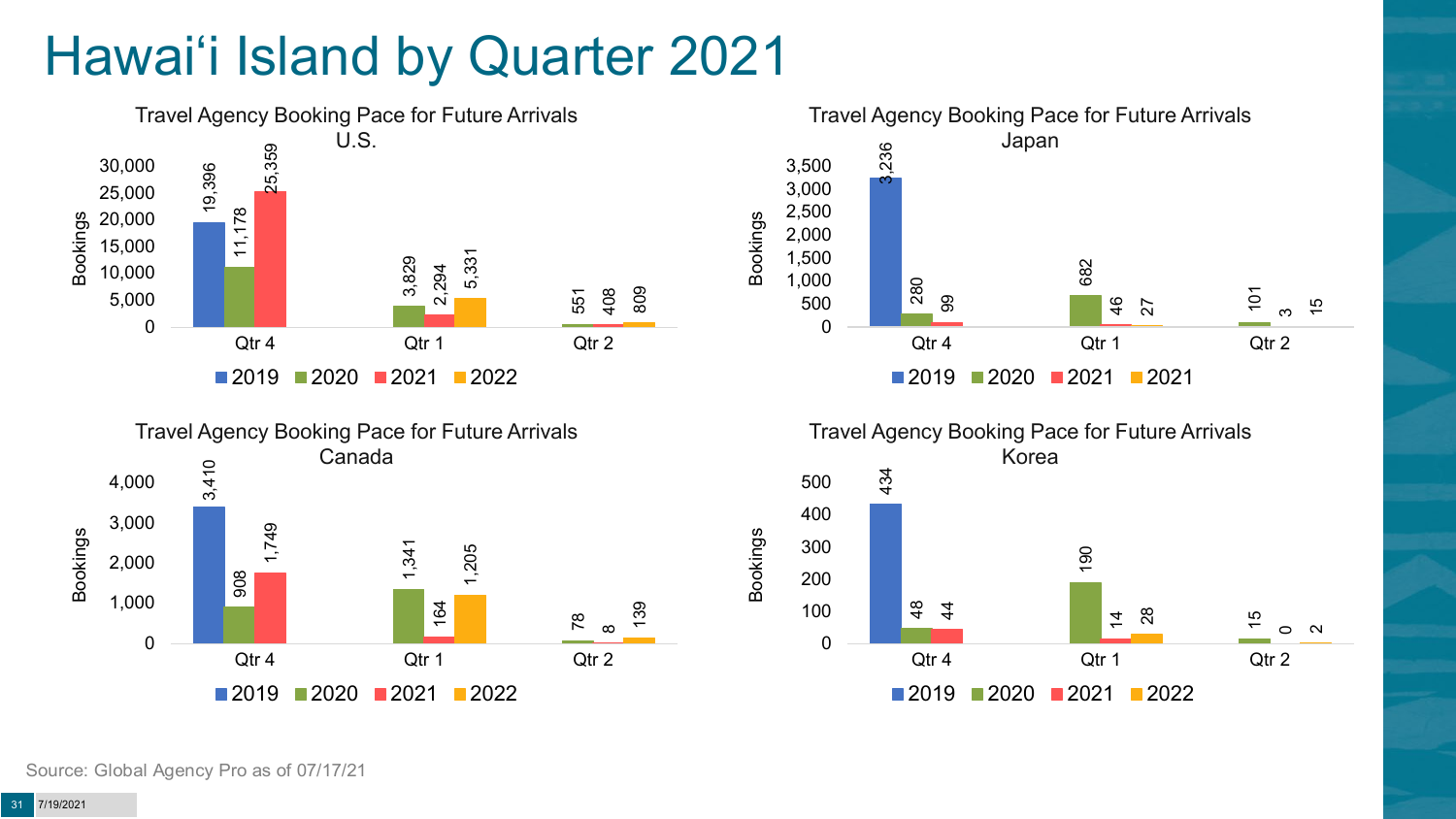# Hawai'i Island by Quarter 2021

![](_page_30_Figure_1.jpeg)

![](_page_30_Figure_2.jpeg)

![](_page_30_Figure_3.jpeg)

![](_page_30_Figure_4.jpeg)